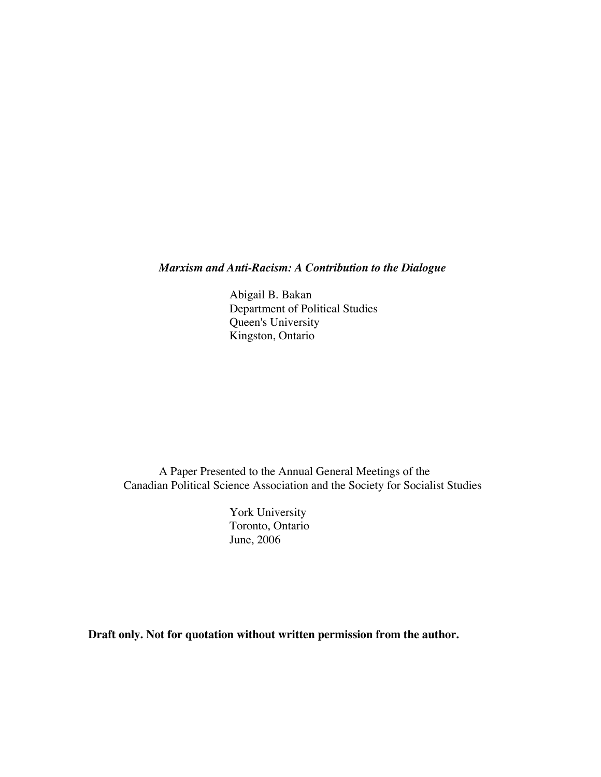*Marxism and Anti-Racism: A Contribution to the Dialogue*

Abigail B. Bakan Department of Political Studies Queen's University Kingston, Ontario

A Paper Presented to the Annual General Meetings of the Canadian Political Science Association and the Society for Socialist Studies

> York University Toronto, Ontario June, 2006

**Draft only. Not for quotation without written permission from the author.**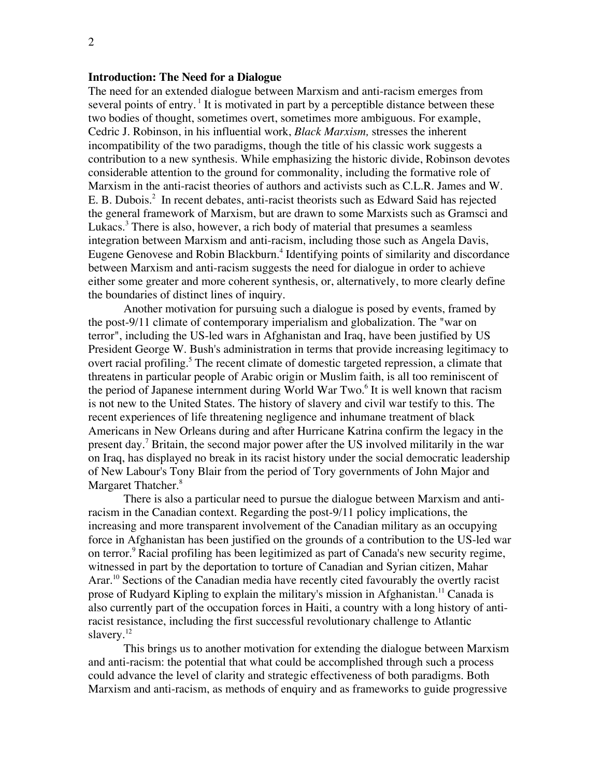## **Introduction: The Need for a Dialogue**

The need for an extended dialogue between Marxism and anti-racism emerges from several points of entry.<sup>1</sup> It is motivated in part by a perceptible distance between these two bodies of thought, sometimes overt, sometimes more ambiguous. For example, Cedric J. Robinson, in his influential work, *Black Marxism,* stresses the inherent incompatibility of the two paradigms, though the title of his classic work suggests a contribution to a new synthesis. While emphasizing the historic divide, Robinson devotes considerable attention to the ground for commonality, including the formative role of Marxism in the anti-racist theories of authors and activists such as C.L.R. James and W. E. B. Dubois.<sup>2</sup> In recent debates, anti-racist theorists such as Edward Said has rejected the general framework of Marxism, but are drawn to some Marxists such as Gramsci and Lukacs.<sup>3</sup> There is also, however, a rich body of material that presumes a seamless integration between Marxism and anti-racism, including those such as Angela Davis, Eugene Genovese and Robin Blackburn.<sup>4</sup> Identifying points of similarity and discordance between Marxism and anti-racism suggests the need for dialogue in order to achieve either some greater and more coherent synthesis, or, alternatively, to more clearly define the boundaries of distinct lines of inquiry.

Another motivation for pursuing such a dialogue is posed by events, framed by the post-9/11 climate of contemporary imperialism and globalization. The "war on terror", including the US-led wars in Afghanistan and Iraq, have been justified by US President George W. Bush's administration in terms that provide increasing legitimacy to overt racial profiling.<sup>5</sup> The recent climate of domestic targeted repression, a climate that threatens in particular people of Arabic origin or Muslim faith, is all too reminiscent of the period of Japanese internment during World War Two.<sup>6</sup> It is well known that racism is not new to the United States. The history of slavery and civil war testify to this. The recent experiences of life threatening negligence and inhumane treatment of black Americans in New Orleans during and after Hurricane Katrina confirm the legacy in the present day.<sup>7</sup> Britain, the second major power after the US involved militarily in the war on Iraq, has displayed no break in its racist history under the social democratic leadership of New Labour's Tony Blair from the period of Tory governments of John Major and Margaret Thatcher.<sup>8</sup>

There is also a particular need to pursue the dialogue between Marxism and antiracism in the Canadian context. Regarding the post-9/11 policy implications, the increasing and more transparent involvement of the Canadian military as an occupying force in Afghanistan has been justified on the grounds of a contribution to the US-led war on terror.<sup>9</sup> Racial profiling has been legitimized as part of Canada's new security regime, witnessed in part by the deportation to torture of Canadian and Syrian citizen, Mahar Arar.<sup>10</sup> Sections of the Canadian media have recently cited favourably the overtly racist prose of Rudyard Kipling to explain the military's mission in Afghanistan.<sup>11</sup> Canada is also currently part of the occupation forces in Haiti, a country with a long history of antiracist resistance, including the first successful revolutionary challenge to Atlantic slavery. $^{12}$ 

This brings us to another motivation for extending the dialogue between Marxism and anti-racism: the potential that what could be accomplished through such a process could advance the level of clarity and strategic effectiveness of both paradigms. Both Marxism and anti-racism, as methods of enquiry and as frameworks to guide progressive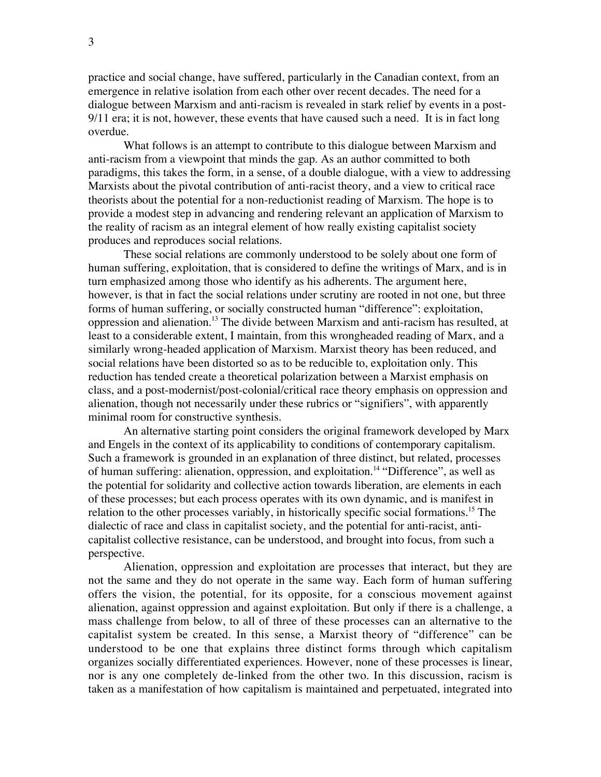practice and social change, have suffered, particularly in the Canadian context, from an emergence in relative isolation from each other over recent decades. The need for a dialogue between Marxism and anti-racism is revealed in stark relief by events in a post-9/11 era; it is not, however, these events that have caused such a need. It is in fact long overdue.

What follows is an attempt to contribute to this dialogue between Marxism and anti-racism from a viewpoint that minds the gap. As an author committed to both paradigms, this takes the form, in a sense, of a double dialogue, with a view to addressing Marxists about the pivotal contribution of anti-racist theory, and a view to critical race theorists about the potential for a non-reductionist reading of Marxism. The hope is to provide a modest step in advancing and rendering relevant an application of Marxism to the reality of racism as an integral element of how really existing capitalist society produces and reproduces social relations.

These social relations are commonly understood to be solely about one form of human suffering, exploitation, that is considered to define the writings of Marx, and is in turn emphasized among those who identify as his adherents. The argument here, however, is that in fact the social relations under scrutiny are rooted in not one, but three forms of human suffering, or socially constructed human "difference": exploitation, oppression and alienation.<sup>13</sup> The divide between Marxism and anti-racism has resulted, at least to a considerable extent, I maintain, from this wrongheaded reading of Marx, and a similarly wrong-headed application of Marxism. Marxist theory has been reduced, and social relations have been distorted so as to be reducible to, exploitation only. This reduction has tended create a theoretical polarization between a Marxist emphasis on class, and a post-modernist/post-colonial/critical race theory emphasis on oppression and alienation, though not necessarily under these rubrics or "signifiers", with apparently minimal room for constructive synthesis.

An alternative starting point considers the original framework developed by Marx and Engels in the context of its applicability to conditions of contemporary capitalism. Such a framework is grounded in an explanation of three distinct, but related, processes of human suffering: alienation, oppression, and exploitation.<sup>14</sup> "Difference", as well as the potential for solidarity and collective action towards liberation, are elements in each of these processes; but each process operates with its own dynamic, and is manifest in relation to the other processes variably, in historically specific social formations.<sup>15</sup> The dialectic of race and class in capitalist society, and the potential for anti-racist, anticapitalist collective resistance, can be understood, and brought into focus, from such a perspective.

Alienation, oppression and exploitation are processes that interact, but they are not the same and they do not operate in the same way. Each form of human suffering offers the vision, the potential, for its opposite, for a conscious movement against alienation, against oppression and against exploitation. But only if there is a challenge, a mass challenge from below, to all of three of these processes can an alternative to the capitalist system be created. In this sense, a Marxist theory of "difference" can be understood to be one that explains three distinct forms through which capitalism organizes socially differentiated experiences. However, none of these processes is linear, nor is any one completely de-linked from the other two. In this discussion, racism is taken as a manifestation of how capitalism is maintained and perpetuated, integrated into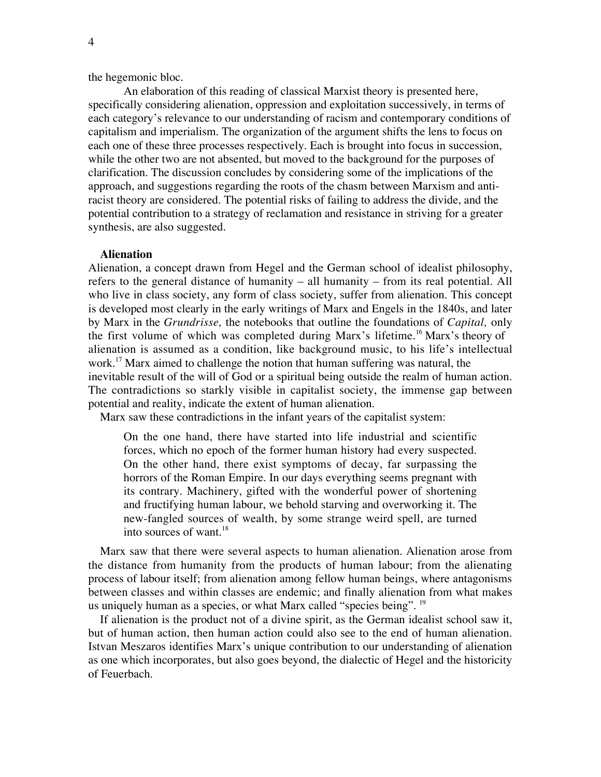the hegemonic bloc.

An elaboration of this reading of classical Marxist theory is presented here, specifically considering alienation, oppression and exploitation successively, in terms of each category's relevance to our understanding of racism and contemporary conditions of capitalism and imperialism. The organization of the argument shifts the lens to focus on each one of these three processes respectively. Each is brought into focus in succession, while the other two are not absented, but moved to the background for the purposes of clarification. The discussion concludes by considering some of the implications of the approach, and suggestions regarding the roots of the chasm between Marxism and antiracist theory are considered. The potential risks of failing to address the divide, and the potential contribution to a strategy of reclamation and resistance in striving for a greater synthesis, are also suggested.

#### **Alienation**

Alienation, a concept drawn from Hegel and the German school of idealist philosophy, refers to the general distance of humanity – all humanity – from its real potential. All who live in class society, any form of class society, suffer from alienation. This concept is developed most clearly in the early writings of Marx and Engels in the 1840s, and later by Marx in the *Grundrisse,* the notebooks that outline the foundations of *Capital,* only the first volume of which was completed during Marx's lifetime.<sup>16</sup> Marx's theory of alienation is assumed as a condition, like background music, to his life's intellectual work.<sup>17</sup> Marx aimed to challenge the notion that human suffering was natural, the inevitable result of the will of God or a spiritual being outside the realm of human action. The contradictions so starkly visible in capitalist society, the immense gap between potential and reality, indicate the extent of human alienation.

Marx saw these contradictions in the infant years of the capitalist system:

On the one hand, there have started into life industrial and scientific forces, which no epoch of the former human history had every suspected. On the other hand, there exist symptoms of decay, far surpassing the horrors of the Roman Empire. In our days everything seems pregnant with its contrary. Machinery, gifted with the wonderful power of shortening and fructifying human labour, we behold starving and overworking it. The new-fangled sources of wealth, by some strange weird spell, are turned into sources of want. $18$ 

Marx saw that there were several aspects to human alienation. Alienation arose from the distance from humanity from the products of human labour; from the alienating process of labour itself; from alienation among fellow human beings, where antagonisms between classes and within classes are endemic; and finally alienation from what makes us uniquely human as a species, or what Marx called "species being". <sup>19</sup>

If alienation is the product not of a divine spirit, as the German idealist school saw it, but of human action, then human action could also see to the end of human alienation. Istvan Meszaros identifies Marx's unique contribution to our understanding of alienation as one which incorporates, but also goes beyond, the dialectic of Hegel and the historicity of Feuerbach.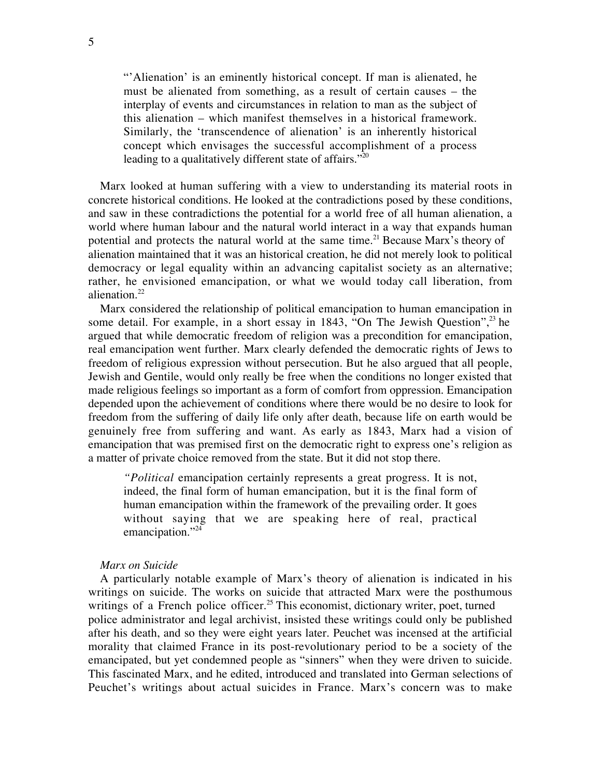"'Alienation' is an eminently historical concept. If man is alienated, he must be alienated from something, as a result of certain causes – the interplay of events and circumstances in relation to man as the subject of this alienation – which manifest themselves in a historical framework. Similarly, the 'transcendence of alienation' is an inherently historical concept which envisages the successful accomplishment of a process leading to a qualitatively different state of affairs."<sup>20</sup>

Marx looked at human suffering with a view to understanding its material roots in concrete historical conditions. He looked at the contradictions posed by these conditions, and saw in these contradictions the potential for a world free of all human alienation, a world where human labour and the natural world interact in a way that expands human potential and protects the natural world at the same time.<sup>21</sup> Because Marx's theory of alienation maintained that it was an historical creation, he did not merely look to political democracy or legal equality within an advancing capitalist society as an alternative; rather, he envisioned emancipation, or what we would today call liberation, from alienation. $22$ 

Marx considered the relationship of political emancipation to human emancipation in some detail. For example, in a short essay in 1843, "On The Jewish Question", $^{23}$  he argued that while democratic freedom of religion was a precondition for emancipation, real emancipation went further. Marx clearly defended the democratic rights of Jews to freedom of religious expression without persecution. But he also argued that all people, Jewish and Gentile, would only really be free when the conditions no longer existed that made religious feelings so important as a form of comfort from oppression. Emancipation depended upon the achievement of conditions where there would be no desire to look for freedom from the suffering of daily life only after death, because life on earth would be genuinely free from suffering and want. As early as 1843, Marx had a vision of emancipation that was premised first on the democratic right to express one's religion as a matter of private choice removed from the state. But it did not stop there.

*"Political* emancipation certainly represents a great progress. It is not, indeed, the final form of human emancipation, but it is the final form of human emancipation within the framework of the prevailing order. It goes without saying that we are speaking here of real, practical emancipation."<sup>24</sup>

### *Marx on Suicide*

A particularly notable example of Marx's theory of alienation is indicated in his writings on suicide. The works on suicide that attracted Marx were the posthumous writings of a French police officer.<sup>25</sup> This economist, dictionary writer, poet, turned police administrator and legal archivist, insisted these writings could only be published after his death, and so they were eight years later. Peuchet was incensed at the artificial morality that claimed France in its post-revolutionary period to be a society of the emancipated, but yet condemned people as "sinners" when they were driven to suicide. This fascinated Marx, and he edited, introduced and translated into German selections of Peuchet's writings about actual suicides in France. Marx's concern was to make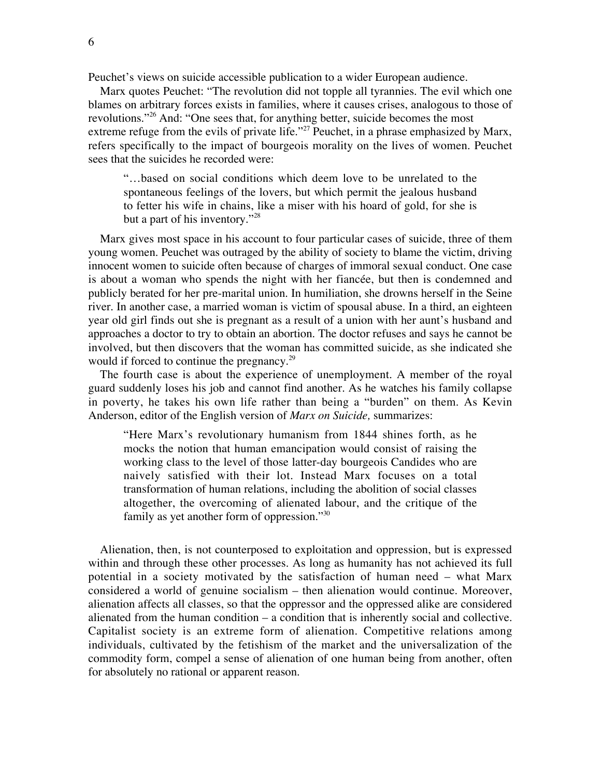Peuchet's views on suicide accessible publication to a wider European audience.

Marx quotes Peuchet: "The revolution did not topple all tyrannies. The evil which one blames on arbitrary forces exists in families, where it causes crises, analogous to those of revolutions."<sup>26</sup> And: "One sees that, for anything better, suicide becomes the most extreme refuge from the evils of private life."<sup>27</sup> Peuchet, in a phrase emphasized by Marx, refers specifically to the impact of bourgeois morality on the lives of women. Peuchet sees that the suicides he recorded were:

"…based on social conditions which deem love to be unrelated to the spontaneous feelings of the lovers, but which permit the jealous husband to fetter his wife in chains, like a miser with his hoard of gold, for she is but a part of his inventory."<sup>28</sup>

Marx gives most space in his account to four particular cases of suicide, three of them young women. Peuchet was outraged by the ability of society to blame the victim, driving innocent women to suicide often because of charges of immoral sexual conduct. One case is about a woman who spends the night with her fiancée, but then is condemned and publicly berated for her pre-marital union. In humiliation, she drowns herself in the Seine river. In another case, a married woman is victim of spousal abuse. In a third, an eighteen year old girl finds out she is pregnant as a result of a union with her aunt's husband and approaches a doctor to try to obtain an abortion. The doctor refuses and says he cannot be involved, but then discovers that the woman has committed suicide, as she indicated she would if forced to continue the pregnancy.<sup>29</sup>

The fourth case is about the experience of unemployment. A member of the royal guard suddenly loses his job and cannot find another. As he watches his family collapse in poverty, he takes his own life rather than being a "burden" on them. As Kevin Anderson, editor of the English version of *Marx on Suicide,* summarizes:

"Here Marx's revolutionary humanism from 1844 shines forth, as he mocks the notion that human emancipation would consist of raising the working class to the level of those latter-day bourgeois Candides who are naively satisfied with their lot. Instead Marx focuses on a total transformation of human relations, including the abolition of social classes altogether, the overcoming of alienated labour, and the critique of the family as yet another form of oppression."<sup>30</sup>

Alienation, then, is not counterposed to exploitation and oppression, but is expressed within and through these other processes. As long as humanity has not achieved its full potential in a society motivated by the satisfaction of human need – what Marx considered a world of genuine socialism – then alienation would continue. Moreover, alienation affects all classes, so that the oppressor and the oppressed alike are considered alienated from the human condition – a condition that is inherently social and collective. Capitalist society is an extreme form of alienation. Competitive relations among individuals, cultivated by the fetishism of the market and the universalization of the commodity form, compel a sense of alienation of one human being from another, often for absolutely no rational or apparent reason.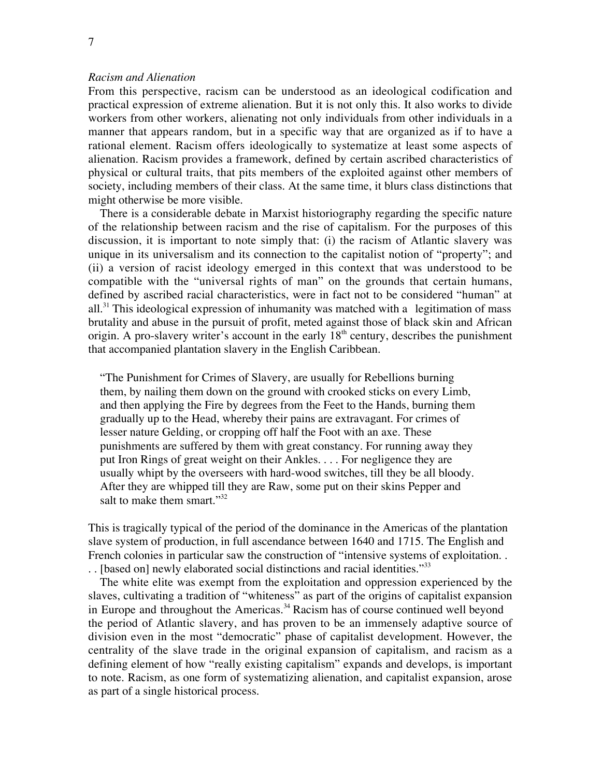# *Racism and Alienation*

From this perspective, racism can be understood as an ideological codification and practical expression of extreme alienation. But it is not only this. It also works to divide workers from other workers, alienating not only individuals from other individuals in a manner that appears random, but in a specific way that are organized as if to have a rational element. Racism offers ideologically to systematize at least some aspects of alienation. Racism provides a framework, defined by certain ascribed characteristics of physical or cultural traits, that pits members of the exploited against other members of society, including members of their class. At the same time, it blurs class distinctions that might otherwise be more visible.

There is a considerable debate in Marxist historiography regarding the specific nature of the relationship between racism and the rise of capitalism. For the purposes of this discussion, it is important to note simply that: (i) the racism of Atlantic slavery was unique in its universalism and its connection to the capitalist notion of "property"; and (ii) a version of racist ideology emerged in this context that was understood to be compatible with the "universal rights of man" on the grounds that certain humans, defined by ascribed racial characteristics, were in fact not to be considered "human" at all.<sup>31</sup> This ideological expression of inhumanity was matched with a legitimation of mass brutality and abuse in the pursuit of profit, meted against those of black skin and African origin. A pro-slavery writer's account in the early  $18<sup>th</sup>$  century, describes the punishment that accompanied plantation slavery in the English Caribbean.

"The Punishment for Crimes of Slavery, are usually for Rebellions burning them, by nailing them down on the ground with crooked sticks on every Limb, and then applying the Fire by degrees from the Feet to the Hands, burning them gradually up to the Head, whereby their pains are extravagant. For crimes of lesser nature Gelding, or cropping off half the Foot with an axe. These punishments are suffered by them with great constancy. For running away they put Iron Rings of great weight on their Ankles. . . . For negligence they are usually whipt by the overseers with hard-wood switches, till they be all bloody. After they are whipped till they are Raw, some put on their skins Pepper and salt to make them smart."<sup>32</sup>

This is tragically typical of the period of the dominance in the Americas of the plantation slave system of production, in full ascendance between 1640 and 1715. The English and French colonies in particular saw the construction of "intensive systems of exploitation... .. [based on] newly elaborated social distinctions and racial identities."<sup>33</sup>

The white elite was exempt from the exploitation and oppression experienced by the slaves, cultivating a tradition of "whiteness" as part of the origins of capitalist expansion in Europe and throughout the Americas.<sup>34</sup> Racism has of course continued well beyond the period of Atlantic slavery, and has proven to be an immensely adaptive source of division even in the most "democratic" phase of capitalist development. However, the centrality of the slave trade in the original expansion of capitalism, and racism as a defining element of how "really existing capitalism" expands and develops, is important to note. Racism, as one form of systematizing alienation, and capitalist expansion, arose as part of a single historical process.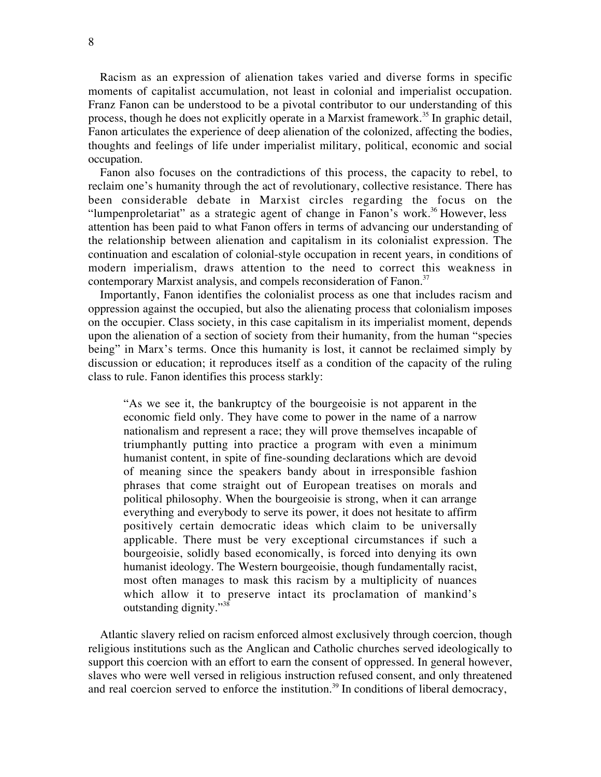Racism as an expression of alienation takes varied and diverse forms in specific moments of capitalist accumulation, not least in colonial and imperialist occupation. Franz Fanon can be understood to be a pivotal contributor to our understanding of this process, though he does not explicitly operate in a Marxist framework.<sup>35</sup> In graphic detail, Fanon articulates the experience of deep alienation of the colonized, affecting the bodies, thoughts and feelings of life under imperialist military, political, economic and social occupation.

Fanon also focuses on the contradictions of this process, the capacity to rebel, to reclaim one's humanity through the act of revolutionary, collective resistance. There has been considerable debate in Marxist circles regarding the focus on the "lumpenproletariat" as a strategic agent of change in Fanon's work.<sup>36</sup> However, less attention has been paid to what Fanon offers in terms of advancing our understanding of the relationship between alienation and capitalism in its colonialist expression. The continuation and escalation of colonial-style occupation in recent years, in conditions of modern imperialism, draws attention to the need to correct this weakness in contemporary Marxist analysis, and compels reconsideration of Fanon.<sup>37</sup>

Importantly, Fanon identifies the colonialist process as one that includes racism and oppression against the occupied, but also the alienating process that colonialism imposes on the occupier. Class society, in this case capitalism in its imperialist moment, depends upon the alienation of a section of society from their humanity, from the human "species being" in Marx's terms. Once this humanity is lost, it cannot be reclaimed simply by discussion or education; it reproduces itself as a condition of the capacity of the ruling class to rule. Fanon identifies this process starkly:

"As we see it, the bankruptcy of the bourgeoisie is not apparent in the economic field only. They have come to power in the name of a narrow nationalism and represent a race; they will prove themselves incapable of triumphantly putting into practice a program with even a minimum humanist content, in spite of fine-sounding declarations which are devoid of meaning since the speakers bandy about in irresponsible fashion phrases that come straight out of European treatises on morals and political philosophy. When the bourgeoisie is strong, when it can arrange everything and everybody to serve its power, it does not hesitate to affirm positively certain democratic ideas which claim to be universally applicable. There must be very exceptional circumstances if such a bourgeoisie, solidly based economically, is forced into denying its own humanist ideology. The Western bourgeoisie, though fundamentally racist, most often manages to mask this racism by a multiplicity of nuances which allow it to preserve intact its proclamation of mankind's outstanding dignity."38

Atlantic slavery relied on racism enforced almost exclusively through coercion, though religious institutions such as the Anglican and Catholic churches served ideologically to support this coercion with an effort to earn the consent of oppressed. In general however, slaves who were well versed in religious instruction refused consent, and only threatened and real coercion served to enforce the institution.<sup>39</sup> In conditions of liberal democracy,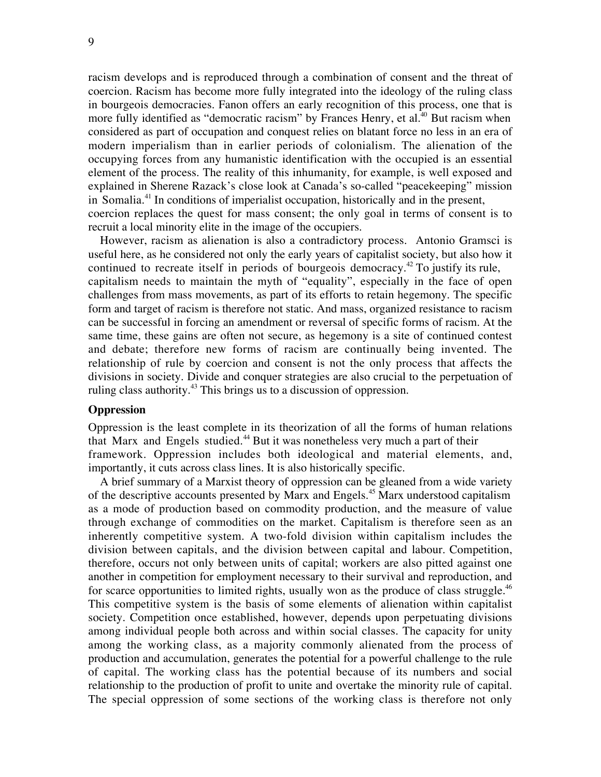racism develops and is reproduced through a combination of consent and the threat of coercion. Racism has become more fully integrated into the ideology of the ruling class in bourgeois democracies. Fanon offers an early recognition of this process, one that is more fully identified as "democratic racism" by Frances Henry, et al.<sup>40</sup> But racism when considered as part of occupation and conquest relies on blatant force no less in an era of modern imperialism than in earlier periods of colonialism. The alienation of the occupying forces from any humanistic identification with the occupied is an essential element of the process. The reality of this inhumanity, for example, is well exposed and explained in Sherene Razack's close look at Canada's so-called "peacekeeping" mission in Somalia.<sup>41</sup> In conditions of imperialist occupation, historically and in the present, coercion replaces the quest for mass consent; the only goal in terms of consent is to recruit a local minority elite in the image of the occupiers.

However, racism as alienation is also a contradictory process. Antonio Gramsci is useful here, as he considered not only the early years of capitalist society, but also how it continued to recreate itself in periods of bourgeois democracy.<sup>42</sup> To justify its rule, capitalism needs to maintain the myth of "equality", especially in the face of open challenges from mass movements, as part of its efforts to retain hegemony. The specific form and target of racism is therefore not static. And mass, organized resistance to racism can be successful in forcing an amendment or reversal of specific forms of racism. At the same time, these gains are often not secure, as hegemony is a site of continued contest and debate; therefore new forms of racism are continually being invented. The relationship of rule by coercion and consent is not the only process that affects the divisions in society. Divide and conquer strategies are also crucial to the perpetuation of ruling class authority.<sup>43</sup> This brings us to a discussion of oppression.

# **Oppression**

Oppression is the least complete in its theorization of all the forms of human relations that Marx and Engels studied.<sup>44</sup> But it was nonetheless very much a part of their framework. Oppression includes both ideological and material elements, and, importantly, it cuts across class lines. It is also historically specific.

A brief summary of a Marxist theory of oppression can be gleaned from a wide variety of the descriptive accounts presented by Marx and Engels.<sup>45</sup> Marx understood capitalism as a mode of production based on commodity production, and the measure of value through exchange of commodities on the market. Capitalism is therefore seen as an inherently competitive system. A two-fold division within capitalism includes the division between capitals, and the division between capital and labour. Competition, therefore, occurs not only between units of capital; workers are also pitted against one another in competition for employment necessary to their survival and reproduction, and for scarce opportunities to limited rights, usually won as the produce of class struggle. $46$ This competitive system is the basis of some elements of alienation within capitalist society. Competition once established, however, depends upon perpetuating divisions among individual people both across and within social classes. The capacity for unity among the working class, as a majority commonly alienated from the process of production and accumulation, generates the potential for a powerful challenge to the rule of capital. The working class has the potential because of its numbers and social relationship to the production of profit to unite and overtake the minority rule of capital. The special oppression of some sections of the working class is therefore not only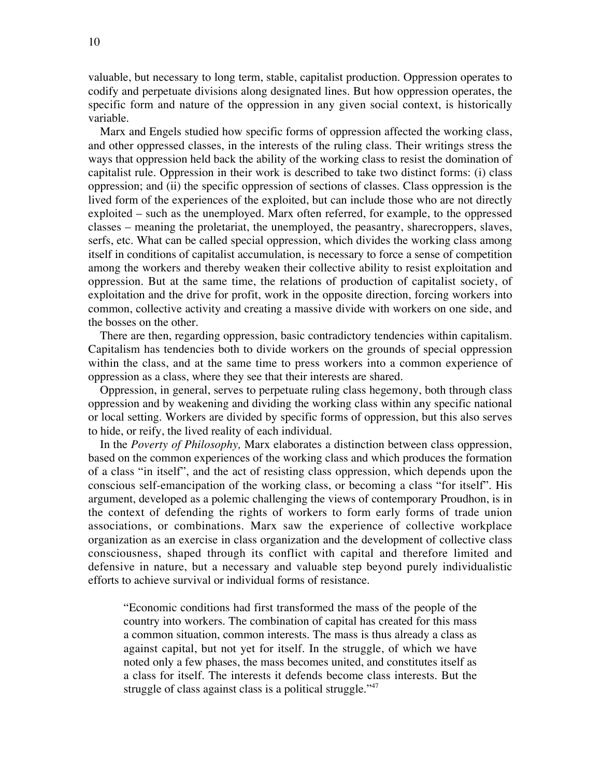valuable, but necessary to long term, stable, capitalist production. Oppression operates to codify and perpetuate divisions along designated lines. But how oppression operates, the specific form and nature of the oppression in any given social context, is historically variable.

Marx and Engels studied how specific forms of oppression affected the working class, and other oppressed classes, in the interests of the ruling class. Their writings stress the ways that oppression held back the ability of the working class to resist the domination of capitalist rule. Oppression in their work is described to take two distinct forms: (i) class oppression; and (ii) the specific oppression of sections of classes. Class oppression is the lived form of the experiences of the exploited, but can include those who are not directly exploited – such as the unemployed. Marx often referred, for example, to the oppressed classes – meaning the proletariat, the unemployed, the peasantry, sharecroppers, slaves, serfs, etc. What can be called special oppression, which divides the working class among itself in conditions of capitalist accumulation, is necessary to force a sense of competition among the workers and thereby weaken their collective ability to resist exploitation and oppression. But at the same time, the relations of production of capitalist society, of exploitation and the drive for profit, work in the opposite direction, forcing workers into common, collective activity and creating a massive divide with workers on one side, and the bosses on the other.

There are then, regarding oppression, basic contradictory tendencies within capitalism. Capitalism has tendencies both to divide workers on the grounds of special oppression within the class, and at the same time to press workers into a common experience of oppression as a class, where they see that their interests are shared.

Oppression, in general, serves to perpetuate ruling class hegemony, both through class oppression and by weakening and dividing the working class within any specific national or local setting. Workers are divided by specific forms of oppression, but this also serves to hide, or reify, the lived reality of each individual.

In the *Poverty of Philosophy,* Marx elaborates a distinction between class oppression, based on the common experiences of the working class and which produces the formation of a class "in itself", and the act of resisting class oppression, which depends upon the conscious self-emancipation of the working class, or becoming a class "for itself". His argument, developed as a polemic challenging the views of contemporary Proudhon, is in the context of defending the rights of workers to form early forms of trade union associations, or combinations. Marx saw the experience of collective workplace organization as an exercise in class organization and the development of collective class consciousness, shaped through its conflict with capital and therefore limited and defensive in nature, but a necessary and valuable step beyond purely individualistic efforts to achieve survival or individual forms of resistance.

"Economic conditions had first transformed the mass of the people of the country into workers. The combination of capital has created for this mass a common situation, common interests. The mass is thus already a class as against capital, but not yet for itself. In the struggle, of which we have noted only a few phases, the mass becomes united, and constitutes itself as a class for itself. The interests it defends become class interests. But the struggle of class against class is a political struggle."<sup>47</sup>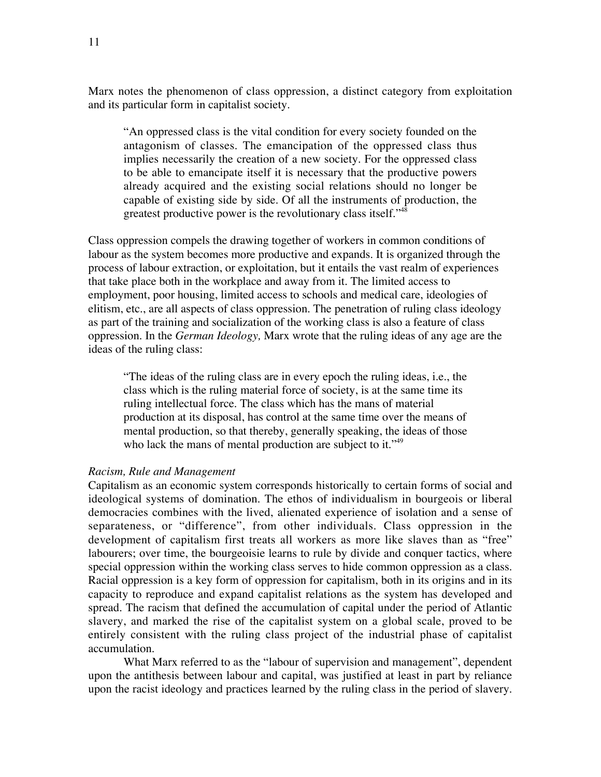Marx notes the phenomenon of class oppression, a distinct category from exploitation and its particular form in capitalist society.

"An oppressed class is the vital condition for every society founded on the antagonism of classes. The emancipation of the oppressed class thus implies necessarily the creation of a new society. For the oppressed class to be able to emancipate itself it is necessary that the productive powers already acquired and the existing social relations should no longer be capable of existing side by side. Of all the instruments of production, the greatest productive power is the revolutionary class itself."48

Class oppression compels the drawing together of workers in common conditions of labour as the system becomes more productive and expands. It is organized through the process of labour extraction, or exploitation, but it entails the vast realm of experiences that take place both in the workplace and away from it. The limited access to employment, poor housing, limited access to schools and medical care, ideologies of elitism, etc., are all aspects of class oppression. The penetration of ruling class ideology as part of the training and socialization of the working class is also a feature of class oppression. In the *German Ideology,* Marx wrote that the ruling ideas of any age are the ideas of the ruling class:

"The ideas of the ruling class are in every epoch the ruling ideas, i.e., the class which is the ruling material force of society, is at the same time its ruling intellectual force. The class which has the mans of material production at its disposal, has control at the same time over the means of mental production, so that thereby, generally speaking, the ideas of those who lack the mans of mental production are subject to it."<sup>49</sup>

# *Racism, Rule and Management*

Capitalism as an economic system corresponds historically to certain forms of social and ideological systems of domination. The ethos of individualism in bourgeois or liberal democracies combines with the lived, alienated experience of isolation and a sense of separateness, or "difference", from other individuals. Class oppression in the development of capitalism first treats all workers as more like slaves than as "free" labourers; over time, the bourgeoisie learns to rule by divide and conquer tactics, where special oppression within the working class serves to hide common oppression as a class. Racial oppression is a key form of oppression for capitalism, both in its origins and in its capacity to reproduce and expand capitalist relations as the system has developed and spread. The racism that defined the accumulation of capital under the period of Atlantic slavery, and marked the rise of the capitalist system on a global scale, proved to be entirely consistent with the ruling class project of the industrial phase of capitalist accumulation.

What Marx referred to as the "labour of supervision and management", dependent upon the antithesis between labour and capital, was justified at least in part by reliance upon the racist ideology and practices learned by the ruling class in the period of slavery.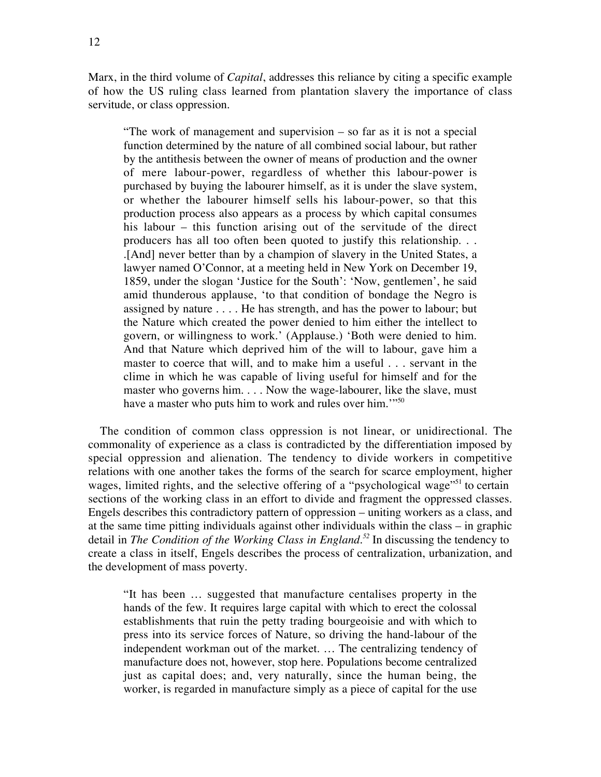Marx, in the third volume of *Capital*, addresses this reliance by citing a specific example of how the US ruling class learned from plantation slavery the importance of class servitude, or class oppression.

"The work of management and supervision – so far as it is not a special function determined by the nature of all combined social labour, but rather by the antithesis between the owner of means of production and the owner of mere labour-power, regardless of whether this labour-power is purchased by buying the labourer himself, as it is under the slave system, or whether the labourer himself sells his labour-power, so that this production process also appears as a process by which capital consumes his labour – this function arising out of the servitude of the direct producers has all too often been quoted to justify this relationship. . . .[And] never better than by a champion of slavery in the United States, a lawyer named O'Connor, at a meeting held in New York on December 19, 1859, under the slogan 'Justice for the South': 'Now, gentlemen', he said amid thunderous applause, 'to that condition of bondage the Negro is assigned by nature . . . . He has strength, and has the power to labour; but the Nature which created the power denied to him either the intellect to govern, or willingness to work.' (Applause.) 'Both were denied to him. And that Nature which deprived him of the will to labour, gave him a master to coerce that will, and to make him a useful . . . servant in the clime in which he was capable of living useful for himself and for the master who governs him. . . . Now the wage-labourer, like the slave, must have a master who puts him to work and rules over him."<sup>50</sup>

The condition of common class oppression is not linear, or unidirectional. The commonality of experience as a class is contradicted by the differentiation imposed by special oppression and alienation. The tendency to divide workers in competitive relations with one another takes the forms of the search for scarce employment, higher wages, limited rights, and the selective offering of a "psychological wage"<sup>51</sup> to certain sections of the working class in an effort to divide and fragment the oppressed classes. Engels describes this contradictory pattern of oppression – uniting workers as a class, and at the same time pitting individuals against other individuals within the class – in graphic detail in *The Condition of the Working Class in England.<sup>52</sup>* In discussing the tendency to create a class in itself, Engels describes the process of centralization, urbanization, and the development of mass poverty.

"It has been … suggested that manufacture centalises property in the hands of the few. It requires large capital with which to erect the colossal establishments that ruin the petty trading bourgeoisie and with which to press into its service forces of Nature, so driving the hand-labour of the independent workman out of the market. … The centralizing tendency of manufacture does not, however, stop here. Populations become centralized just as capital does; and, very naturally, since the human being, the worker, is regarded in manufacture simply as a piece of capital for the use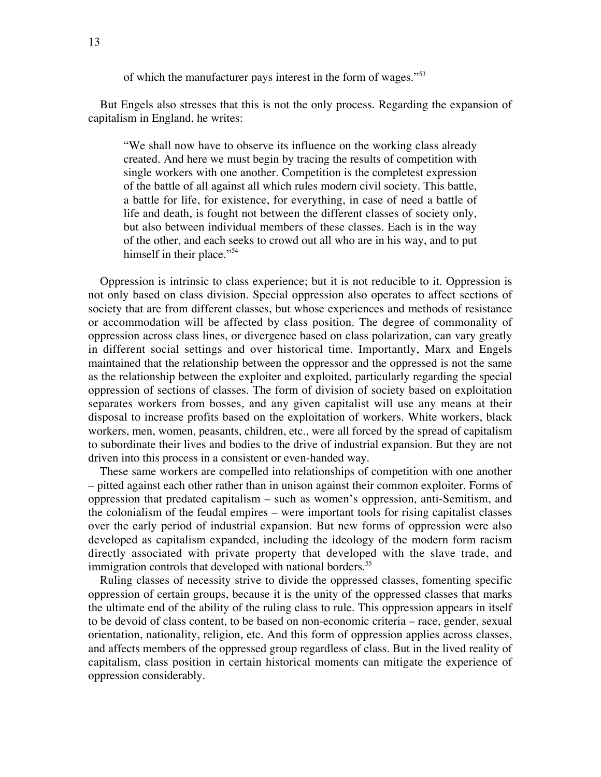of which the manufacturer pays interest in the form of wages."<sup>53</sup>

But Engels also stresses that this is not the only process. Regarding the expansion of capitalism in England, he writes:

"We shall now have to observe its influence on the working class already created. And here we must begin by tracing the results of competition with single workers with one another. Competition is the completest expression of the battle of all against all which rules modern civil society. This battle, a battle for life, for existence, for everything, in case of need a battle of life and death, is fought not between the different classes of society only, but also between individual members of these classes. Each is in the way of the other, and each seeks to crowd out all who are in his way, and to put himself in their place."<sup>54</sup>

Oppression is intrinsic to class experience; but it is not reducible to it. Oppression is not only based on class division. Special oppression also operates to affect sections of society that are from different classes, but whose experiences and methods of resistance or accommodation will be affected by class position. The degree of commonality of oppression across class lines, or divergence based on class polarization, can vary greatly in different social settings and over historical time. Importantly, Marx and Engels maintained that the relationship between the oppressor and the oppressed is not the same as the relationship between the exploiter and exploited, particularly regarding the special oppression of sections of classes. The form of division of society based on exploitation separates workers from bosses, and any given capitalist will use any means at their disposal to increase profits based on the exploitation of workers. White workers, black workers, men, women, peasants, children, etc., were all forced by the spread of capitalism to subordinate their lives and bodies to the drive of industrial expansion. But they are not driven into this process in a consistent or even-handed way.

These same workers are compelled into relationships of competition with one another – pitted against each other rather than in unison against their common exploiter. Forms of oppression that predated capitalism – such as women's oppression, anti-Semitism, and the colonialism of the feudal empires – were important tools for rising capitalist classes over the early period of industrial expansion. But new forms of oppression were also developed as capitalism expanded, including the ideology of the modern form racism directly associated with private property that developed with the slave trade, and immigration controls that developed with national borders.<sup>55</sup>

Ruling classes of necessity strive to divide the oppressed classes, fomenting specific oppression of certain groups, because it is the unity of the oppressed classes that marks the ultimate end of the ability of the ruling class to rule. This oppression appears in itself to be devoid of class content, to be based on non-economic criteria – race, gender, sexual orientation, nationality, religion, etc. And this form of oppression applies across classes, and affects members of the oppressed group regardless of class. But in the lived reality of capitalism, class position in certain historical moments can mitigate the experience of oppression considerably.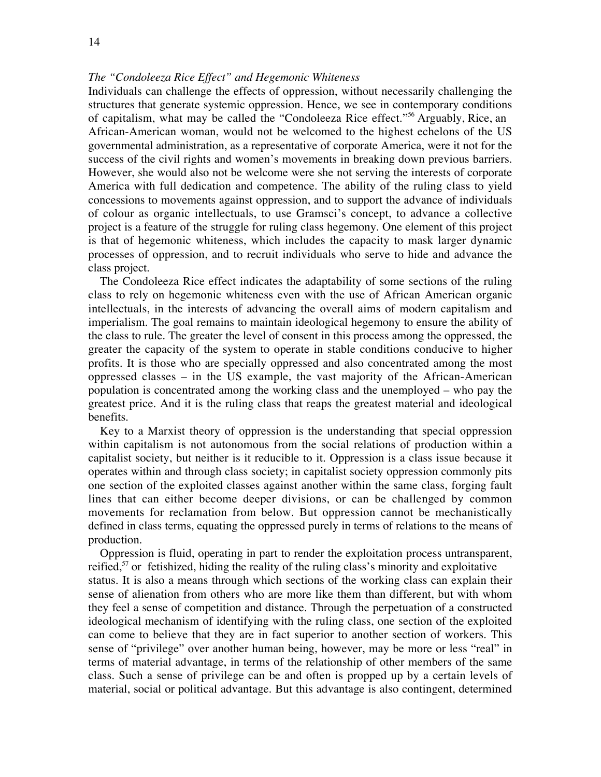# *The "Condoleeza Rice Effect" and Hegemonic Whiteness*

Individuals can challenge the effects of oppression, without necessarily challenging the structures that generate systemic oppression. Hence, we see in contemporary conditions of capitalism, what may be called the "Condoleeza Rice effect."<sup>56</sup> Arguably, Rice, an African-American woman, would not be welcomed to the highest echelons of the US governmental administration, as a representative of corporate America, were it not for the success of the civil rights and women's movements in breaking down previous barriers. However, she would also not be welcome were she not serving the interests of corporate America with full dedication and competence. The ability of the ruling class to yield concessions to movements against oppression, and to support the advance of individuals of colour as organic intellectuals, to use Gramsci's concept, to advance a collective project is a feature of the struggle for ruling class hegemony. One element of this project is that of hegemonic whiteness, which includes the capacity to mask larger dynamic processes of oppression, and to recruit individuals who serve to hide and advance the class project.

The Condoleeza Rice effect indicates the adaptability of some sections of the ruling class to rely on hegemonic whiteness even with the use of African American organic intellectuals, in the interests of advancing the overall aims of modern capitalism and imperialism. The goal remains to maintain ideological hegemony to ensure the ability of the class to rule. The greater the level of consent in this process among the oppressed, the greater the capacity of the system to operate in stable conditions conducive to higher profits. It is those who are specially oppressed and also concentrated among the most oppressed classes – in the US example, the vast majority of the African-American population is concentrated among the working class and the unemployed – who pay the greatest price. And it is the ruling class that reaps the greatest material and ideological benefits.

Key to a Marxist theory of oppression is the understanding that special oppression within capitalism is not autonomous from the social relations of production within a capitalist society, but neither is it reducible to it. Oppression is a class issue because it operates within and through class society; in capitalist society oppression commonly pits one section of the exploited classes against another within the same class, forging fault lines that can either become deeper divisions, or can be challenged by common movements for reclamation from below. But oppression cannot be mechanistically defined in class terms, equating the oppressed purely in terms of relations to the means of production.

Oppression is fluid, operating in part to render the exploitation process untransparent, reified,<sup>57</sup> or fetishized, hiding the reality of the ruling class's minority and exploitative status. It is also a means through which sections of the working class can explain their sense of alienation from others who are more like them than different, but with whom they feel a sense of competition and distance. Through the perpetuation of a constructed ideological mechanism of identifying with the ruling class, one section of the exploited can come to believe that they are in fact superior to another section of workers. This sense of "privilege" over another human being, however, may be more or less "real" in terms of material advantage, in terms of the relationship of other members of the same class. Such a sense of privilege can be and often is propped up by a certain levels of material, social or political advantage. But this advantage is also contingent, determined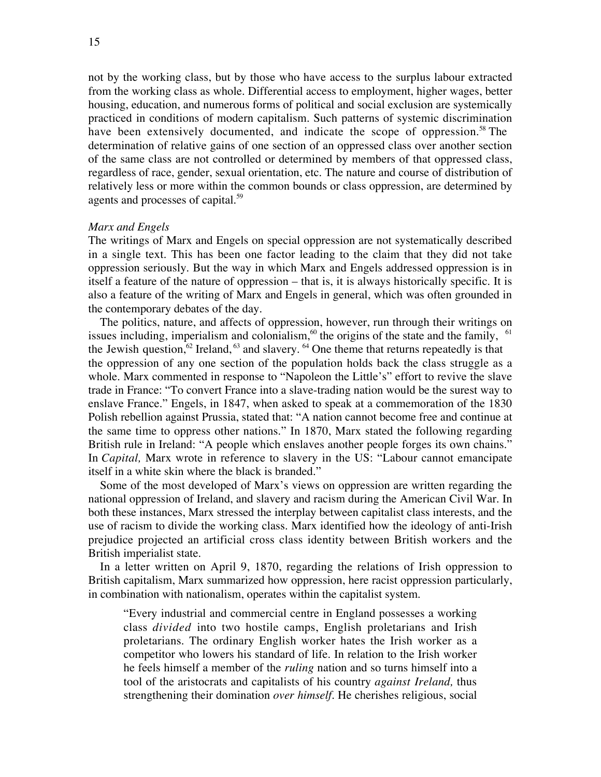not by the working class, but by those who have access to the surplus labour extracted from the working class as whole. Differential access to employment, higher wages, better housing, education, and numerous forms of political and social exclusion are systemically practiced in conditions of modern capitalism. Such patterns of systemic discrimination have been extensively documented, and indicate the scope of oppression.<sup>58</sup> The determination of relative gains of one section of an oppressed class over another section of the same class are not controlled or determined by members of that oppressed class, regardless of race, gender, sexual orientation, etc. The nature and course of distribution of relatively less or more within the common bounds or class oppression, are determined by agents and processes of capital.<sup>59</sup>

## *Marx and Engels*

The writings of Marx and Engels on special oppression are not systematically described in a single text. This has been one factor leading to the claim that they did not take oppression seriously. But the way in which Marx and Engels addressed oppression is in itself a feature of the nature of oppression – that is, it is always historically specific. It is also a feature of the writing of Marx and Engels in general, which was often grounded in the contemporary debates of the day.

The politics, nature, and affects of oppression, however, run through their writings on issues including, imperialism and colonialism,  $\frac{60}{10}$  the origins of the state and the family,  $\frac{61}{100}$ the Jewish question,  $62$  Ireland,  $63$  and slavery.  $64$  One theme that returns repeatedly is that the oppression of any one section of the population holds back the class struggle as a whole. Marx commented in response to "Napoleon the Little's" effort to revive the slave trade in France: "To convert France into a slave-trading nation would be the surest way to enslave France." Engels, in 1847, when asked to speak at a commemoration of the 1830 Polish rebellion against Prussia, stated that: "A nation cannot become free and continue at the same time to oppress other nations." In 1870, Marx stated the following regarding British rule in Ireland: "A people which enslaves another people forges its own chains." In *Capital,* Marx wrote in reference to slavery in the US: "Labour cannot emancipate itself in a white skin where the black is branded."

Some of the most developed of Marx's views on oppression are written regarding the national oppression of Ireland, and slavery and racism during the American Civil War. In both these instances, Marx stressed the interplay between capitalist class interests, and the use of racism to divide the working class. Marx identified how the ideology of anti-Irish prejudice projected an artificial cross class identity between British workers and the British imperialist state.

In a letter written on April 9, 1870, regarding the relations of Irish oppression to British capitalism, Marx summarized how oppression, here racist oppression particularly, in combination with nationalism, operates within the capitalist system.

"Every industrial and commercial centre in England possesses a working class *divided* into two hostile camps, English proletarians and Irish proletarians. The ordinary English worker hates the Irish worker as a competitor who lowers his standard of life. In relation to the Irish worker he feels himself a member of the *ruling* nation and so turns himself into a tool of the aristocrats and capitalists of his country *against Ireland,* thus strengthening their domination *over himself.* He cherishes religious, social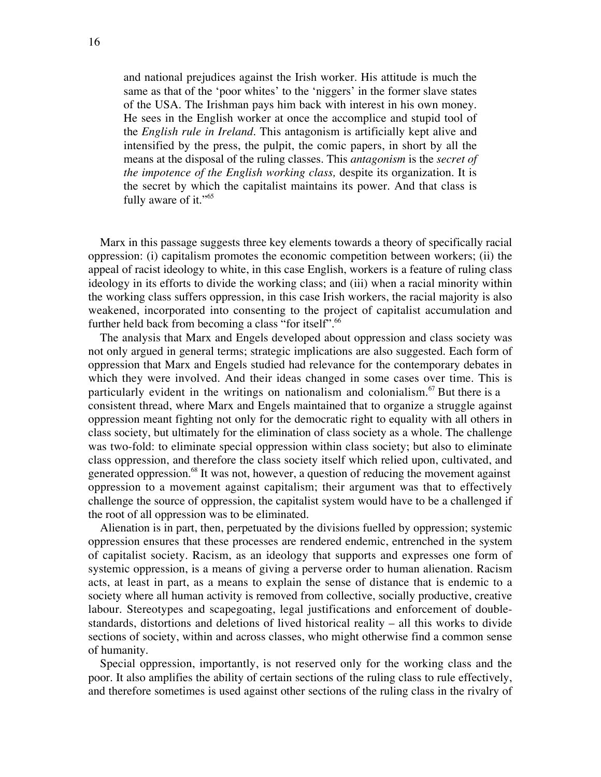and national prejudices against the Irish worker. His attitude is much the same as that of the 'poor whites' to the 'niggers' in the former slave states of the USA. The Irishman pays him back with interest in his own money. He sees in the English worker at once the accomplice and stupid tool of the *English rule in Ireland.* This antagonism is artificially kept alive and intensified by the press, the pulpit, the comic papers, in short by all the means at the disposal of the ruling classes. This *antagonism* is the *secret of the impotence of the English working class,* despite its organization. It is the secret by which the capitalist maintains its power. And that class is fully aware of it."<sup>65</sup>

Marx in this passage suggests three key elements towards a theory of specifically racial oppression: (i) capitalism promotes the economic competition between workers; (ii) the appeal of racist ideology to white, in this case English, workers is a feature of ruling class ideology in its efforts to divide the working class; and (iii) when a racial minority within the working class suffers oppression, in this case Irish workers, the racial majority is also weakened, incorporated into consenting to the project of capitalist accumulation and further held back from becoming a class "for itself".<sup>66</sup>

The analysis that Marx and Engels developed about oppression and class society was not only argued in general terms; strategic implications are also suggested. Each form of oppression that Marx and Engels studied had relevance for the contemporary debates in which they were involved. And their ideas changed in some cases over time. This is particularly evident in the writings on nationalism and colonialism.<sup>67</sup> But there is a consistent thread, where Marx and Engels maintained that to organize a struggle against oppression meant fighting not only for the democratic right to equality with all others in class society, but ultimately for the elimination of class society as a whole. The challenge was two-fold: to eliminate special oppression within class society; but also to eliminate class oppression, and therefore the class society itself which relied upon, cultivated, and generated oppression.<sup>68</sup> It was not, however, a question of reducing the movement against oppression to a movement against capitalism; their argument was that to effectively challenge the source of oppression, the capitalist system would have to be a challenged if the root of all oppression was to be eliminated.

Alienation is in part, then, perpetuated by the divisions fuelled by oppression; systemic oppression ensures that these processes are rendered endemic, entrenched in the system of capitalist society. Racism, as an ideology that supports and expresses one form of systemic oppression, is a means of giving a perverse order to human alienation. Racism acts, at least in part, as a means to explain the sense of distance that is endemic to a society where all human activity is removed from collective, socially productive, creative labour. Stereotypes and scapegoating, legal justifications and enforcement of doublestandards, distortions and deletions of lived historical reality – all this works to divide sections of society, within and across classes, who might otherwise find a common sense of humanity.

Special oppression, importantly, is not reserved only for the working class and the poor. It also amplifies the ability of certain sections of the ruling class to rule effectively, and therefore sometimes is used against other sections of the ruling class in the rivalry of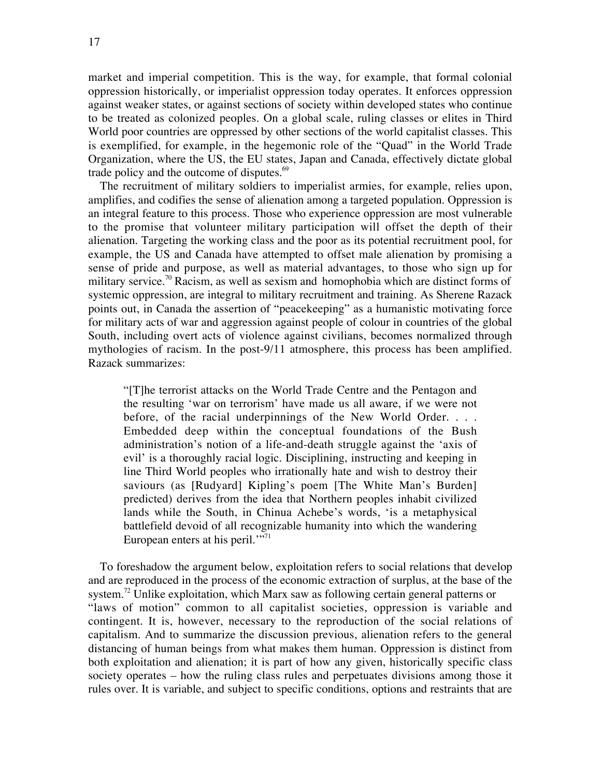market and imperial competition. This is the way, for example, that formal colonial oppression historically, or imperialist oppression today operates. It enforces oppression against weaker states, or against sections of society within developed states who continue to be treated as colonized peoples. On a global scale, ruling classes or elites in Third World poor countries are oppressed by other sections of the world capitalist classes. This is exemplified, for example, in the hegemonic role of the "Quad" in the World Trade Organization, where the US, the EU states, Japan and Canada, effectively dictate global trade policy and the outcome of disputes.<sup>69</sup>

The recruitment of military soldiers to imperialist armies, for example, relies upon, amplifies, and codifies the sense of alienation among a targeted population. Oppression is an integral feature to this process. Those who experience oppression are most vulnerable to the promise that volunteer military participation will offset the depth of their alienation. Targeting the working class and the poor as its potential recruitment pool, for example, the US and Canada have attempted to offset male alienation by promising a sense of pride and purpose, as well as material advantages, to those who sign up for military service.<sup>70</sup> Racism, as well as sexism and homophobia which are distinct forms of systemic oppression, are integral to military recruitment and training. As Sherene Razack points out, in Canada the assertion of "peacekeeping" as a humanistic motivating force for military acts of war and aggression against people of colour in countries of the global South, including overt acts of violence against civilians, becomes normalized through mythologies of racism. In the post-9/11 atmosphere, this process has been amplified. Razack summarizes:

"[T]he terrorist attacks on the World Trade Centre and the Pentagon and the resulting 'war on terrorism' have made us all aware, if we were not before, of the racial underpinnings of the New World Order. . . . Embedded deep within the conceptual foundations of the Bush administration's notion of a life-and-death struggle against the 'axis of evil' is a thoroughly racial logic. Disciplining, instructing and keeping in line Third World peoples who irrationally hate and wish to destroy their saviours (as [Rudyard] Kipling's poem [The White Man's Burden] predicted) derives from the idea that Northern peoples inhabit civilized lands while the South, in Chinua Achebe's words, 'is a metaphysical battlefield devoid of all recognizable humanity into which the wandering European enters at his peril.'"<sup>71</sup>

To foreshadow the argument below, exploitation refers to social relations that develop and are reproduced in the process of the economic extraction of surplus, at the base of the system.<sup>72</sup> Unlike exploitation, which Marx saw as following certain general patterns or "laws of motion" common to all capitalist societies, oppression is variable and contingent. It is, however, necessary to the reproduction of the social relations of capitalism. And to summarize the discussion previous, alienation refers to the general distancing of human beings from what makes them human. Oppression is distinct from both exploitation and alienation; it is part of how any given, historically specific class society operates – how the ruling class rules and perpetuates divisions among those it rules over. It is variable, and subject to specific conditions, options and restraints that are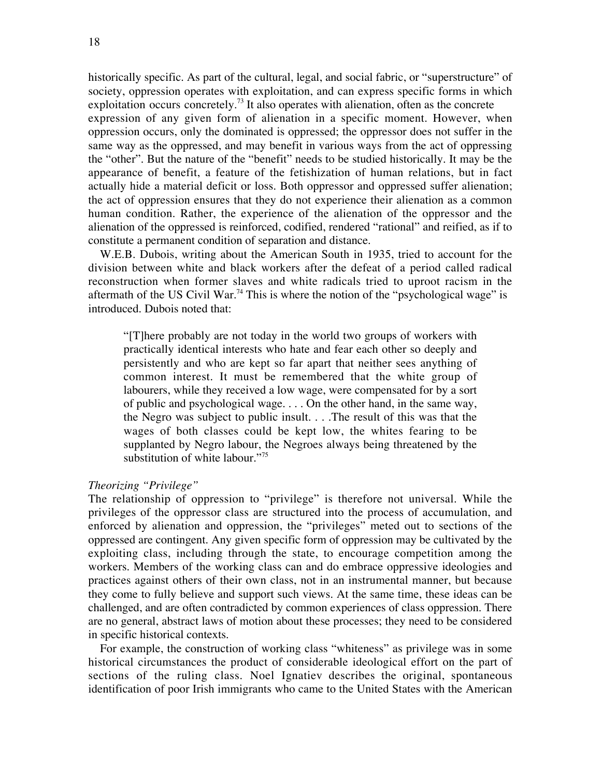historically specific. As part of the cultural, legal, and social fabric, or "superstructure" of society, oppression operates with exploitation, and can express specific forms in which exploitation occurs concretely.<sup>73</sup> It also operates with alienation, often as the concrete expression of any given form of alienation in a specific moment. However, when oppression occurs, only the dominated is oppressed; the oppressor does not suffer in the same way as the oppressed, and may benefit in various ways from the act of oppressing the "other". But the nature of the "benefit" needs to be studied historically. It may be the appearance of benefit, a feature of the fetishization of human relations, but in fact actually hide a material deficit or loss. Both oppressor and oppressed suffer alienation; the act of oppression ensures that they do not experience their alienation as a common human condition. Rather, the experience of the alienation of the oppressor and the alienation of the oppressed is reinforced, codified, rendered "rational" and reified, as if to constitute a permanent condition of separation and distance.

W.E.B. Dubois, writing about the American South in 1935, tried to account for the division between white and black workers after the defeat of a period called radical reconstruction when former slaves and white radicals tried to uproot racism in the aftermath of the US Civil War.<sup>74</sup> This is where the notion of the "psychological wage" is introduced. Dubois noted that:

"[T]here probably are not today in the world two groups of workers with practically identical interests who hate and fear each other so deeply and persistently and who are kept so far apart that neither sees anything of common interest. It must be remembered that the white group of labourers, while they received a low wage, were compensated for by a sort of public and psychological wage. . . . On the other hand, in the same way, the Negro was subject to public insult. . . .The result of this was that the wages of both classes could be kept low, the whites fearing to be supplanted by Negro labour, the Negroes always being threatened by the substitution of white labour."<sup>75</sup>

# *Theorizing "Privilege"*

The relationship of oppression to "privilege" is therefore not universal. While the privileges of the oppressor class are structured into the process of accumulation, and enforced by alienation and oppression, the "privileges" meted out to sections of the oppressed are contingent. Any given specific form of oppression may be cultivated by the exploiting class, including through the state, to encourage competition among the workers. Members of the working class can and do embrace oppressive ideologies and practices against others of their own class, not in an instrumental manner, but because they come to fully believe and support such views. At the same time, these ideas can be challenged, and are often contradicted by common experiences of class oppression. There are no general, abstract laws of motion about these processes; they need to be considered in specific historical contexts.

For example, the construction of working class "whiteness" as privilege was in some historical circumstances the product of considerable ideological effort on the part of sections of the ruling class. Noel Ignatiev describes the original, spontaneous identification of poor Irish immigrants who came to the United States with the American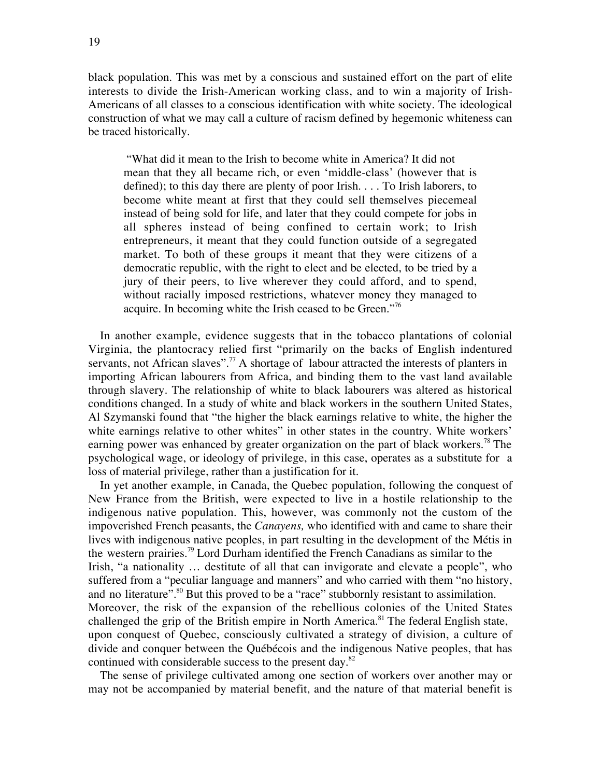black population. This was met by a conscious and sustained effort on the part of elite interests to divide the Irish-American working class, and to win a majority of Irish-Americans of all classes to a conscious identification with white society. The ideological construction of what we may call a culture of racism defined by hegemonic whiteness can be traced historically.

 "What did it mean to the Irish to become white in America? It did not mean that they all became rich, or even 'middle-class' (however that is defined); to this day there are plenty of poor Irish. . . . To Irish laborers, to become white meant at first that they could sell themselves piecemeal instead of being sold for life, and later that they could compete for jobs in all spheres instead of being confined to certain work; to Irish entrepreneurs, it meant that they could function outside of a segregated market. To both of these groups it meant that they were citizens of a democratic republic, with the right to elect and be elected, to be tried by a jury of their peers, to live wherever they could afford, and to spend, without racially imposed restrictions, whatever money they managed to acquire. In becoming white the Irish ceased to be Green."76

In another example, evidence suggests that in the tobacco plantations of colonial Virginia, the plantocracy relied first "primarily on the backs of English indentured servants, not African slaves".<sup>77</sup> A shortage of labour attracted the interests of planters in importing African labourers from Africa, and binding them to the vast land available through slavery. The relationship of white to black labourers was altered as historical conditions changed. In a study of white and black workers in the southern United States, Al Szymanski found that "the higher the black earnings relative to white, the higher the white earnings relative to other whites" in other states in the country. White workers' earning power was enhanced by greater organization on the part of black workers.<sup>78</sup> The psychological wage, or ideology of privilege, in this case, operates as a substitute for a loss of material privilege, rather than a justification for it.

In yet another example, in Canada, the Quebec population, following the conquest of New France from the British, were expected to live in a hostile relationship to the indigenous native population. This, however, was commonly not the custom of the impoverished French peasants, the *Canayens,* who identified with and came to share their lives with indigenous native peoples, in part resulting in the development of the Métis in the western prairies.<sup>79</sup> Lord Durham identified the French Canadians as similar to the Irish, "a nationality … destitute of all that can invigorate and elevate a people", who suffered from a "peculiar language and manners" and who carried with them "no history, and no literature".<sup>80</sup> But this proved to be a "race" stubbornly resistant to assimilation. Moreover, the risk of the expansion of the rebellious colonies of the United States challenged the grip of the British empire in North America.<sup>81</sup> The federal English state, upon conquest of Quebec, consciously cultivated a strategy of division, a culture of divide and conquer between the Québécois and the indigenous Native peoples, that has continued with considerable success to the present day.<sup>82</sup>

The sense of privilege cultivated among one section of workers over another may or may not be accompanied by material benefit, and the nature of that material benefit is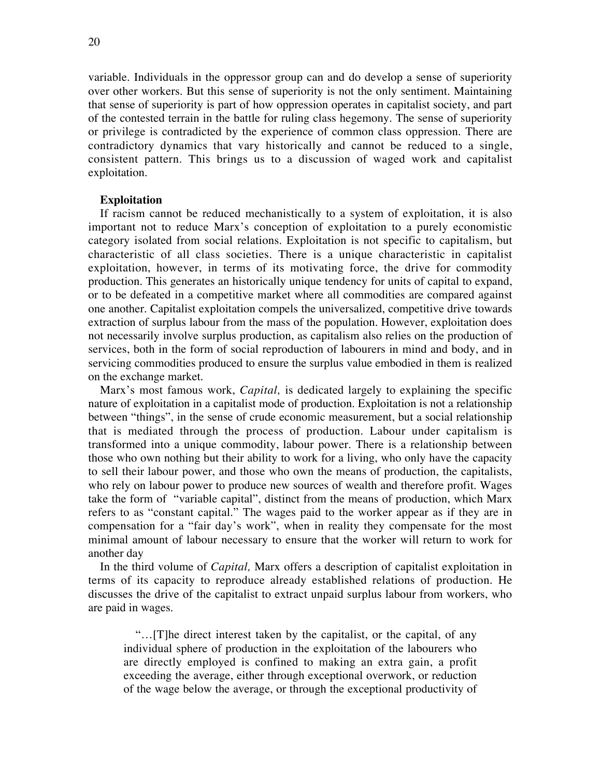variable. Individuals in the oppressor group can and do develop a sense of superiority over other workers. But this sense of superiority is not the only sentiment. Maintaining that sense of superiority is part of how oppression operates in capitalist society, and part of the contested terrain in the battle for ruling class hegemony. The sense of superiority or privilege is contradicted by the experience of common class oppression. There are contradictory dynamics that vary historically and cannot be reduced to a single, consistent pattern. This brings us to a discussion of waged work and capitalist exploitation.

## **Exploitation**

If racism cannot be reduced mechanistically to a system of exploitation, it is also important not to reduce Marx's conception of exploitation to a purely economistic category isolated from social relations. Exploitation is not specific to capitalism, but characteristic of all class societies. There is a unique characteristic in capitalist exploitation, however, in terms of its motivating force, the drive for commodity production. This generates an historically unique tendency for units of capital to expand, or to be defeated in a competitive market where all commodities are compared against one another. Capitalist exploitation compels the universalized, competitive drive towards extraction of surplus labour from the mass of the population. However, exploitation does not necessarily involve surplus production, as capitalism also relies on the production of services, both in the form of social reproduction of labourers in mind and body, and in servicing commodities produced to ensure the surplus value embodied in them is realized on the exchange market.

Marx's most famous work, *Capital,* is dedicated largely to explaining the specific nature of exploitation in a capitalist mode of production. Exploitation is not a relationship between "things", in the sense of crude economic measurement, but a social relationship that is mediated through the process of production. Labour under capitalism is transformed into a unique commodity, labour power. There is a relationship between those who own nothing but their ability to work for a living, who only have the capacity to sell their labour power, and those who own the means of production, the capitalists, who rely on labour power to produce new sources of wealth and therefore profit. Wages take the form of "variable capital", distinct from the means of production, which Marx refers to as "constant capital." The wages paid to the worker appear as if they are in compensation for a "fair day's work", when in reality they compensate for the most minimal amount of labour necessary to ensure that the worker will return to work for another day

In the third volume of *Capital,* Marx offers a description of capitalist exploitation in terms of its capacity to reproduce already established relations of production. He discusses the drive of the capitalist to extract unpaid surplus labour from workers, who are paid in wages.

"…[T]he direct interest taken by the capitalist, or the capital, of any individual sphere of production in the exploitation of the labourers who are directly employed is confined to making an extra gain, a profit exceeding the average, either through exceptional overwork, or reduction of the wage below the average, or through the exceptional productivity of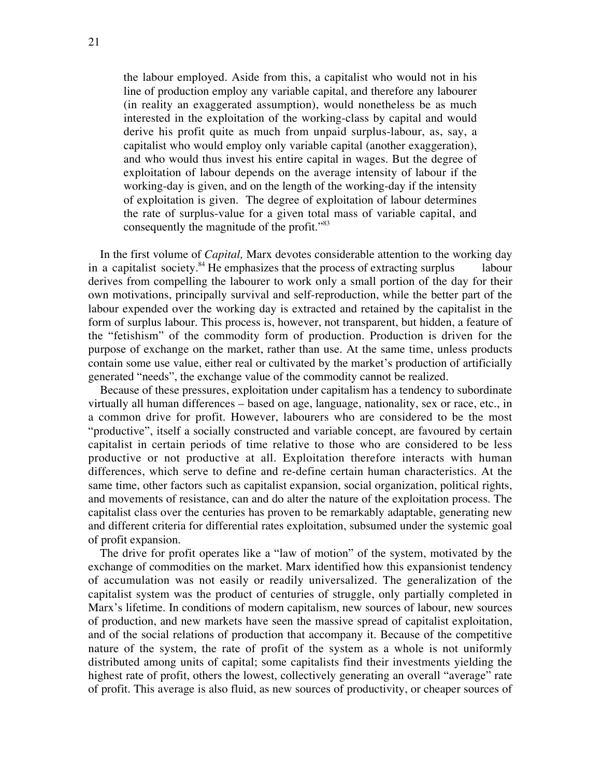the labour employed. Aside from this, a capitalist who would not in his line of production employ any variable capital, and therefore any labourer (in reality an exaggerated assumption), would nonetheless be as much interested in the exploitation of the working-class by capital and would derive his profit quite as much from unpaid surplus-labour, as, say, a capitalist who would employ only variable capital (another exaggeration), and who would thus invest his entire capital in wages. But the degree of exploitation of labour depends on the average intensity of labour if the working-day is given, and on the length of the working-day if the intensity of exploitation is given. The degree of exploitation of labour determines the rate of surplus-value for a given total mass of variable capital, and consequently the magnitude of the profit."<sup>83</sup>

In the first volume of *Capital,* Marx devotes considerable attention to the working day in a capitalist society.<sup>84</sup> He emphasizes that the process of extracting surplus labour derives from compelling the labourer to work only a small portion of the day for their own motivations, principally survival and self-reproduction, while the better part of the labour expended over the working day is extracted and retained by the capitalist in the form of surplus labour. This process is, however, not transparent, but hidden, a feature of the "fetishism" of the commodity form of production. Production is driven for the purpose of exchange on the market, rather than use. At the same time, unless products contain some use value, either real or cultivated by the market's production of artificially generated "needs", the exchange value of the commodity cannot be realized.

Because of these pressures, exploitation under capitalism has a tendency to subordinate virtually all human differences – based on age, language, nationality, sex or race, etc., in a common drive for profit. However, labourers who are considered to be the most "productive", itself a socially constructed and variable concept, are favoured by certain capitalist in certain periods of time relative to those who are considered to be less productive or not productive at all. Exploitation therefore interacts with human differences, which serve to define and re-define certain human characteristics. At the same time, other factors such as capitalist expansion, social organization, political rights, and movements of resistance, can and do alter the nature of the exploitation process. The capitalist class over the centuries has proven to be remarkably adaptable, generating new and different criteria for differential rates exploitation, subsumed under the systemic goal of profit expansion.

The drive for profit operates like a "law of motion" of the system, motivated by the exchange of commodities on the market. Marx identified how this expansionist tendency of accumulation was not easily or readily universalized. The generalization of the capitalist system was the product of centuries of struggle, only partially completed in Marx's lifetime. In conditions of modern capitalism, new sources of labour, new sources of production, and new markets have seen the massive spread of capitalist exploitation, and of the social relations of production that accompany it. Because of the competitive nature of the system, the rate of profit of the system as a whole is not uniformly distributed among units of capital; some capitalists find their investments yielding the highest rate of profit, others the lowest, collectively generating an overall "average" rate of profit. This average is also fluid, as new sources of productivity, or cheaper sources of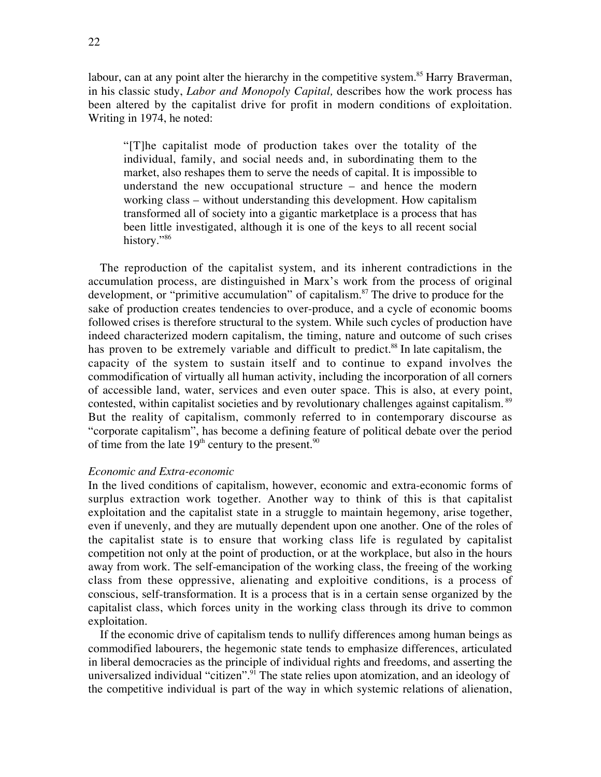labour, can at any point alter the hierarchy in the competitive system.<sup>85</sup> Harry Braverman, in his classic study, *Labor and Monopoly Capital,* describes how the work process has been altered by the capitalist drive for profit in modern conditions of exploitation. Writing in 1974, he noted:

"[T]he capitalist mode of production takes over the totality of the individual, family, and social needs and, in subordinating them to the market, also reshapes them to serve the needs of capital. It is impossible to understand the new occupational structure – and hence the modern working class – without understanding this development. How capitalism transformed all of society into a gigantic marketplace is a process that has been little investigated, although it is one of the keys to all recent social history."<sup>86</sup>

The reproduction of the capitalist system, and its inherent contradictions in the accumulation process, are distinguished in Marx's work from the process of original development, or "primitive accumulation" of capitalism.<sup>87</sup> The drive to produce for the sake of production creates tendencies to over-produce, and a cycle of economic booms followed crises is therefore structural to the system. While such cycles of production have indeed characterized modern capitalism, the timing, nature and outcome of such crises has proven to be extremely variable and difficult to predict.<sup>88</sup> In late capitalism, the capacity of the system to sustain itself and to continue to expand involves the commodification of virtually all human activity, including the incorporation of all corners of accessible land, water, services and even outer space. This is also, at every point, contested, within capitalist societies and by revolutionary challenges against capitalism.<sup>89</sup> But the reality of capitalism, commonly referred to in contemporary discourse as "corporate capitalism", has become a defining feature of political debate over the period of time from the late  $19<sup>th</sup>$  century to the present.<sup>90</sup>

# *Economic and Extra-economic*

In the lived conditions of capitalism, however, economic and extra-economic forms of surplus extraction work together. Another way to think of this is that capitalist exploitation and the capitalist state in a struggle to maintain hegemony, arise together, even if unevenly, and they are mutually dependent upon one another. One of the roles of the capitalist state is to ensure that working class life is regulated by capitalist competition not only at the point of production, or at the workplace, but also in the hours away from work. The self-emancipation of the working class, the freeing of the working class from these oppressive, alienating and exploitive conditions, is a process of conscious, self-transformation. It is a process that is in a certain sense organized by the capitalist class, which forces unity in the working class through its drive to common exploitation.

If the economic drive of capitalism tends to nullify differences among human beings as commodified labourers, the hegemonic state tends to emphasize differences, articulated in liberal democracies as the principle of individual rights and freedoms, and asserting the universalized individual "citizen".<sup>91</sup> The state relies upon atomization, and an ideology of the competitive individual is part of the way in which systemic relations of alienation,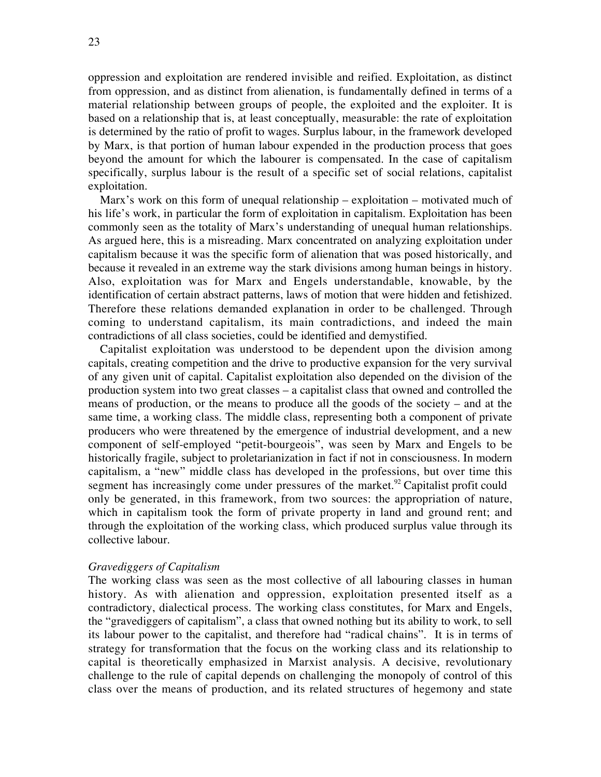oppression and exploitation are rendered invisible and reified. Exploitation, as distinct from oppression, and as distinct from alienation, is fundamentally defined in terms of a material relationship between groups of people, the exploited and the exploiter. It is based on a relationship that is, at least conceptually, measurable: the rate of exploitation is determined by the ratio of profit to wages. Surplus labour, in the framework developed by Marx, is that portion of human labour expended in the production process that goes beyond the amount for which the labourer is compensated. In the case of capitalism specifically, surplus labour is the result of a specific set of social relations, capitalist exploitation.

Marx's work on this form of unequal relationship – exploitation – motivated much of his life's work, in particular the form of exploitation in capitalism. Exploitation has been commonly seen as the totality of Marx's understanding of unequal human relationships. As argued here, this is a misreading. Marx concentrated on analyzing exploitation under capitalism because it was the specific form of alienation that was posed historically, and because it revealed in an extreme way the stark divisions among human beings in history. Also, exploitation was for Marx and Engels understandable, knowable, by the identification of certain abstract patterns, laws of motion that were hidden and fetishized. Therefore these relations demanded explanation in order to be challenged. Through coming to understand capitalism, its main contradictions, and indeed the main contradictions of all class societies, could be identified and demystified.

Capitalist exploitation was understood to be dependent upon the division among capitals, creating competition and the drive to productive expansion for the very survival of any given unit of capital. Capitalist exploitation also depended on the division of the production system into two great classes – a capitalist class that owned and controlled the means of production, or the means to produce all the goods of the society – and at the same time, a working class. The middle class, representing both a component of private producers who were threatened by the emergence of industrial development, and a new component of self-employed "petit-bourgeois", was seen by Marx and Engels to be historically fragile, subject to proletarianization in fact if not in consciousness. In modern capitalism, a "new" middle class has developed in the professions, but over time this segment has increasingly come under pressures of the market. $92$  Capitalist profit could only be generated, in this framework, from two sources: the appropriation of nature, which in capitalism took the form of private property in land and ground rent; and through the exploitation of the working class, which produced surplus value through its collective labour.

### *Gravediggers of Capitalism*

The working class was seen as the most collective of all labouring classes in human history. As with alienation and oppression, exploitation presented itself as a contradictory, dialectical process. The working class constitutes, for Marx and Engels, the "gravediggers of capitalism", a class that owned nothing but its ability to work, to sell its labour power to the capitalist, and therefore had "radical chains". It is in terms of strategy for transformation that the focus on the working class and its relationship to capital is theoretically emphasized in Marxist analysis. A decisive, revolutionary challenge to the rule of capital depends on challenging the monopoly of control of this class over the means of production, and its related structures of hegemony and state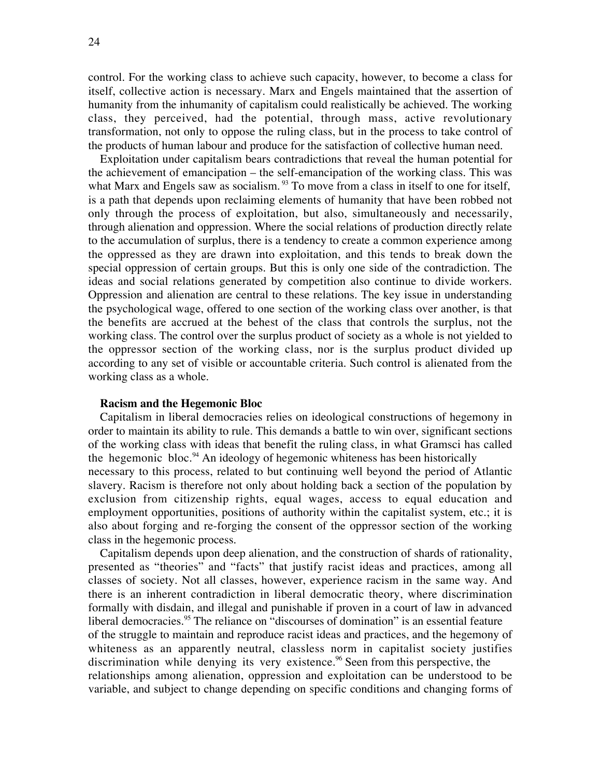control. For the working class to achieve such capacity, however, to become a class for itself, collective action is necessary. Marx and Engels maintained that the assertion of humanity from the inhumanity of capitalism could realistically be achieved. The working class, they perceived, had the potential, through mass, active revolutionary transformation, not only to oppose the ruling class, but in the process to take control of the products of human labour and produce for the satisfaction of collective human need.

Exploitation under capitalism bears contradictions that reveal the human potential for the achievement of emancipation – the self-emancipation of the working class. This was what Marx and Engels saw as socialism. <sup>93</sup> To move from a class in itself to one for itself, is a path that depends upon reclaiming elements of humanity that have been robbed not only through the process of exploitation, but also, simultaneously and necessarily, through alienation and oppression. Where the social relations of production directly relate to the accumulation of surplus, there is a tendency to create a common experience among the oppressed as they are drawn into exploitation, and this tends to break down the special oppression of certain groups. But this is only one side of the contradiction. The ideas and social relations generated by competition also continue to divide workers. Oppression and alienation are central to these relations. The key issue in understanding the psychological wage, offered to one section of the working class over another, is that the benefits are accrued at the behest of the class that controls the surplus, not the working class. The control over the surplus product of society as a whole is not yielded to the oppressor section of the working class, nor is the surplus product divided up according to any set of visible or accountable criteria. Such control is alienated from the working class as a whole.

## **Racism and the Hegemonic Bloc**

Capitalism in liberal democracies relies on ideological constructions of hegemony in order to maintain its ability to rule. This demands a battle to win over, significant sections of the working class with ideas that benefit the ruling class, in what Gramsci has called the hegemonic bloc.<sup>94</sup> An ideology of hegemonic whiteness has been historically necessary to this process, related to but continuing well beyond the period of Atlantic slavery. Racism is therefore not only about holding back a section of the population by exclusion from citizenship rights, equal wages, access to equal education and employment opportunities, positions of authority within the capitalist system, etc.; it is also about forging and re-forging the consent of the oppressor section of the working class in the hegemonic process.

Capitalism depends upon deep alienation, and the construction of shards of rationality, presented as "theories" and "facts" that justify racist ideas and practices, among all classes of society. Not all classes, however, experience racism in the same way. And there is an inherent contradiction in liberal democratic theory, where discrimination formally with disdain, and illegal and punishable if proven in a court of law in advanced liberal democracies.<sup>95</sup> The reliance on "discourses of domination" is an essential feature of the struggle to maintain and reproduce racist ideas and practices, and the hegemony of whiteness as an apparently neutral, classless norm in capitalist society justifies discrimination while denying its very existence.<sup>96</sup> Seen from this perspective, the relationships among alienation, oppression and exploitation can be understood to be variable, and subject to change depending on specific conditions and changing forms of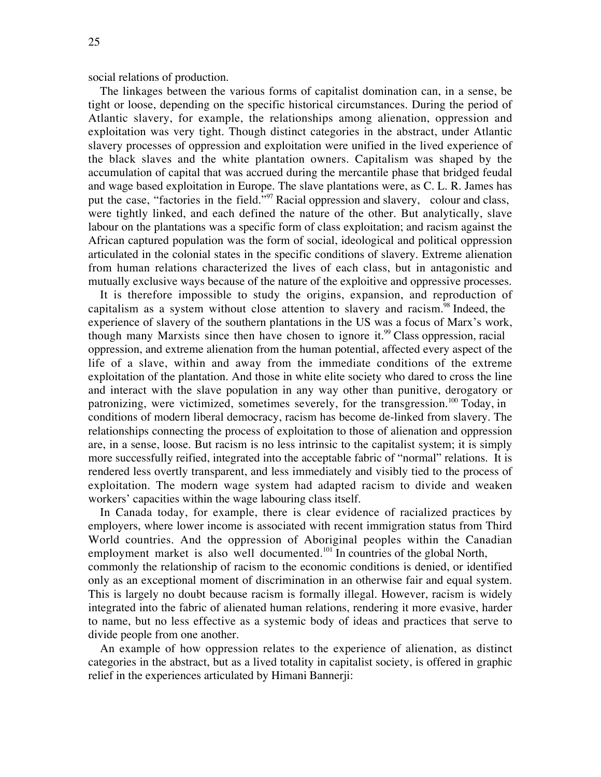social relations of production.

The linkages between the various forms of capitalist domination can, in a sense, be tight or loose, depending on the specific historical circumstances. During the period of Atlantic slavery, for example, the relationships among alienation, oppression and exploitation was very tight. Though distinct categories in the abstract, under Atlantic slavery processes of oppression and exploitation were unified in the lived experience of the black slaves and the white plantation owners. Capitalism was shaped by the accumulation of capital that was accrued during the mercantile phase that bridged feudal and wage based exploitation in Europe. The slave plantations were, as C. L. R. James has put the case, "factories in the field."<sup>97</sup> Racial oppression and slavery, colour and class, were tightly linked, and each defined the nature of the other. But analytically, slave labour on the plantations was a specific form of class exploitation; and racism against the African captured population was the form of social, ideological and political oppression articulated in the colonial states in the specific conditions of slavery. Extreme alienation from human relations characterized the lives of each class, but in antagonistic and mutually exclusive ways because of the nature of the exploitive and oppressive processes.

It is therefore impossible to study the origins, expansion, and reproduction of capitalism as a system without close attention to slavery and racism.<sup>98</sup> Indeed, the experience of slavery of the southern plantations in the US was a focus of Marx's work, though many Marxists since then have chosen to ignore it.<sup>99</sup> Class oppression, racial oppression, and extreme alienation from the human potential, affected every aspect of the life of a slave, within and away from the immediate conditions of the extreme exploitation of the plantation. And those in white elite society who dared to cross the line and interact with the slave population in any way other than punitive, derogatory or patronizing, were victimized, sometimes severely, for the transgression.<sup>100</sup> Today, in conditions of modern liberal democracy, racism has become de-linked from slavery. The relationships connecting the process of exploitation to those of alienation and oppression are, in a sense, loose. But racism is no less intrinsic to the capitalist system; it is simply more successfully reified, integrated into the acceptable fabric of "normal" relations. It is rendered less overtly transparent, and less immediately and visibly tied to the process of exploitation. The modern wage system had adapted racism to divide and weaken workers' capacities within the wage labouring class itself.

In Canada today, for example, there is clear evidence of racialized practices by employers, where lower income is associated with recent immigration status from Third World countries. And the oppression of Aboriginal peoples within the Canadian employment market is also well documented.<sup>101</sup> In countries of the global North, commonly the relationship of racism to the economic conditions is denied, or identified only as an exceptional moment of discrimination in an otherwise fair and equal system. This is largely no doubt because racism is formally illegal. However, racism is widely integrated into the fabric of alienated human relations, rendering it more evasive, harder to name, but no less effective as a systemic body of ideas and practices that serve to divide people from one another.

An example of how oppression relates to the experience of alienation, as distinct categories in the abstract, but as a lived totality in capitalist society, is offered in graphic relief in the experiences articulated by Himani Bannerji: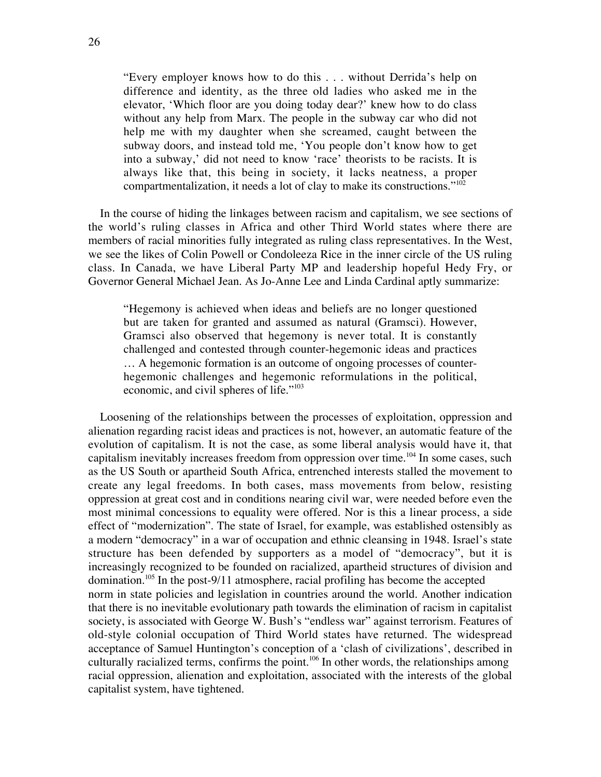"Every employer knows how to do this . . . without Derrida's help on difference and identity, as the three old ladies who asked me in the elevator, 'Which floor are you doing today dear?' knew how to do class without any help from Marx. The people in the subway car who did not help me with my daughter when she screamed, caught between the subway doors, and instead told me, 'You people don't know how to get into a subway,' did not need to know 'race' theorists to be racists. It is always like that, this being in society, it lacks neatness, a proper compartmentalization, it needs a lot of clay to make its constructions."<sup>102</sup>

In the course of hiding the linkages between racism and capitalism, we see sections of the world's ruling classes in Africa and other Third World states where there are members of racial minorities fully integrated as ruling class representatives. In the West, we see the likes of Colin Powell or Condoleeza Rice in the inner circle of the US ruling class. In Canada, we have Liberal Party MP and leadership hopeful Hedy Fry, or Governor General Michael Jean. As Jo-Anne Lee and Linda Cardinal aptly summarize:

"Hegemony is achieved when ideas and beliefs are no longer questioned but are taken for granted and assumed as natural (Gramsci). However, Gramsci also observed that hegemony is never total. It is constantly challenged and contested through counter-hegemonic ideas and practices … A hegemonic formation is an outcome of ongoing processes of counterhegemonic challenges and hegemonic reformulations in the political, economic, and civil spheres of life."<sup>103</sup>

Loosening of the relationships between the processes of exploitation, oppression and alienation regarding racist ideas and practices is not, however, an automatic feature of the evolution of capitalism. It is not the case, as some liberal analysis would have it, that capitalism inevitably increases freedom from oppression over time.<sup>104</sup> In some cases, such as the US South or apartheid South Africa, entrenched interests stalled the movement to create any legal freedoms. In both cases, mass movements from below, resisting oppression at great cost and in conditions nearing civil war, were needed before even the most minimal concessions to equality were offered. Nor is this a linear process, a side effect of "modernization". The state of Israel, for example, was established ostensibly as a modern "democracy" in a war of occupation and ethnic cleansing in 1948. Israel's state structure has been defended by supporters as a model of "democracy", but it is increasingly recognized to be founded on racialized, apartheid structures of division and domination.<sup>105</sup> In the post-9/11 atmosphere, racial profiling has become the accepted norm in state policies and legislation in countries around the world. Another indication that there is no inevitable evolutionary path towards the elimination of racism in capitalist society, is associated with George W. Bush's "endless war" against terrorism. Features of old-style colonial occupation of Third World states have returned. The widespread acceptance of Samuel Huntington's conception of a 'clash of civilizations', described in culturally racialized terms, confirms the point.<sup>106</sup> In other words, the relationships among racial oppression, alienation and exploitation, associated with the interests of the global capitalist system, have tightened.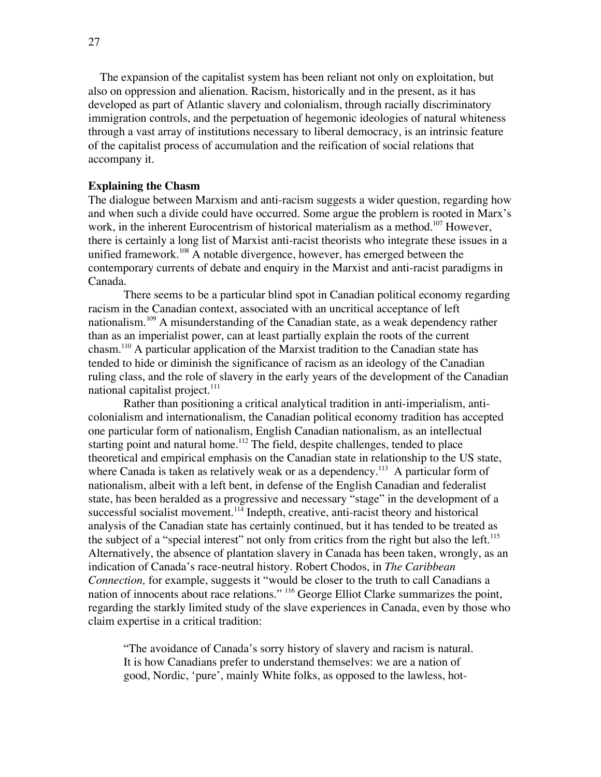The expansion of the capitalist system has been reliant not only on exploitation, but also on oppression and alienation. Racism, historically and in the present, as it has developed as part of Atlantic slavery and colonialism, through racially discriminatory immigration controls, and the perpetuation of hegemonic ideologies of natural whiteness through a vast array of institutions necessary to liberal democracy, is an intrinsic feature of the capitalist process of accumulation and the reification of social relations that accompany it.

### **Explaining the Chasm**

The dialogue between Marxism and anti-racism suggests a wider question, regarding how and when such a divide could have occurred. Some argue the problem is rooted in Marx's work, in the inherent Eurocentrism of historical materialism as a method.<sup>107</sup> However, there is certainly a long list of Marxist anti-racist theorists who integrate these issues in a unified framework.<sup>108</sup> A notable divergence, however, has emerged between the contemporary currents of debate and enquiry in the Marxist and anti-racist paradigms in Canada.

There seems to be a particular blind spot in Canadian political economy regarding racism in the Canadian context, associated with an uncritical acceptance of left nationalism.<sup>109</sup> A misunderstanding of the Canadian state, as a weak dependency rather than as an imperialist power, can at least partially explain the roots of the current chasm.<sup>110</sup> A particular application of the Marxist tradition to the Canadian state has tended to hide or diminish the significance of racism as an ideology of the Canadian ruling class, and the role of slavery in the early years of the development of the Canadian national capitalist project. $111$ 

Rather than positioning a critical analytical tradition in anti-imperialism, anticolonialism and internationalism, the Canadian political economy tradition has accepted one particular form of nationalism, English Canadian nationalism, as an intellectual starting point and natural home.<sup>112</sup> The field, despite challenges, tended to place theoretical and empirical emphasis on the Canadian state in relationship to the US state, where Canada is taken as relatively weak or as a dependency.<sup>113</sup> A particular form of nationalism, albeit with a left bent, in defense of the English Canadian and federalist state, has been heralded as a progressive and necessary "stage" in the development of a successful socialist movement.<sup>114</sup> Indepth, creative, anti-racist theory and historical analysis of the Canadian state has certainly continued, but it has tended to be treated as the subject of a "special interest" not only from critics from the right but also the left.<sup>115</sup> Alternatively, the absence of plantation slavery in Canada has been taken, wrongly, as an indication of Canada's race-neutral history. Robert Chodos, in *The Caribbean Connection,* for example, suggests it "would be closer to the truth to call Canadians a nation of innocents about race relations." <sup>116</sup> George Elliot Clarke summarizes the point, regarding the starkly limited study of the slave experiences in Canada, even by those who claim expertise in a critical tradition:

"The avoidance of Canada's sorry history of slavery and racism is natural. It is how Canadians prefer to understand themselves: we are a nation of good, Nordic, 'pure', mainly White folks, as opposed to the lawless, hot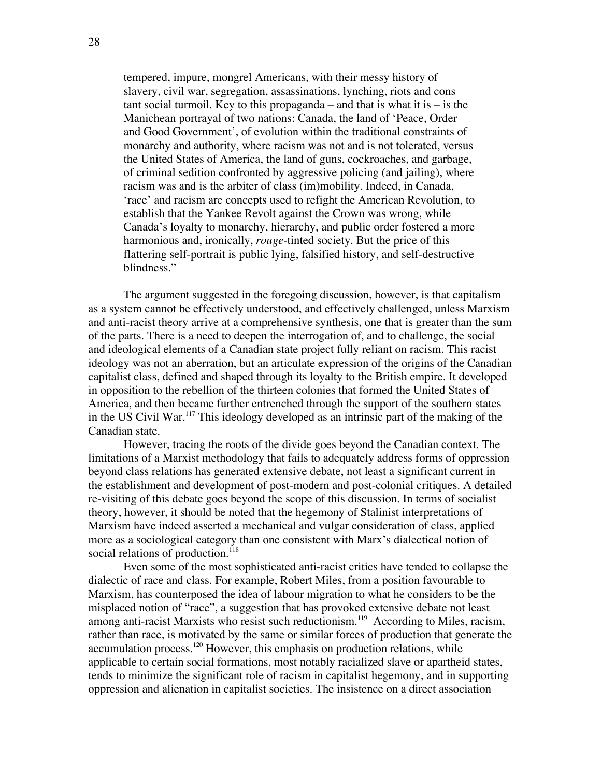tempered, impure, mongrel Americans, with their messy history of slavery, civil war, segregation, assassinations, lynching, riots and cons tant social turmoil. Key to this propaganda – and that is what it is – is the Manichean portrayal of two nations: Canada, the land of 'Peace, Order and Good Government', of evolution within the traditional constraints of monarchy and authority, where racism was not and is not tolerated, versus the United States of America, the land of guns, cockroaches, and garbage, of criminal sedition confronted by aggressive policing (and jailing), where racism was and is the arbiter of class (im)mobility. Indeed, in Canada, 'race' and racism are concepts used to refight the American Revolution, to establish that the Yankee Revolt against the Crown was wrong, while Canada's loyalty to monarchy, hierarchy, and public order fostered a more harmonious and, ironically, *rouge-*tinted society. But the price of this flattering self-portrait is public lying, falsified history, and self-destructive blindness."

The argument suggested in the foregoing discussion, however, is that capitalism as a system cannot be effectively understood, and effectively challenged, unless Marxism and anti-racist theory arrive at a comprehensive synthesis, one that is greater than the sum of the parts. There is a need to deepen the interrogation of, and to challenge, the social and ideological elements of a Canadian state project fully reliant on racism. This racist ideology was not an aberration, but an articulate expression of the origins of the Canadian capitalist class, defined and shaped through its loyalty to the British empire. It developed in opposition to the rebellion of the thirteen colonies that formed the United States of America, and then became further entrenched through the support of the southern states in the US Civil War.<sup>117</sup> This ideology developed as an intrinsic part of the making of the Canadian state.

However, tracing the roots of the divide goes beyond the Canadian context. The limitations of a Marxist methodology that fails to adequately address forms of oppression beyond class relations has generated extensive debate, not least a significant current in the establishment and development of post-modern and post-colonial critiques. A detailed re-visiting of this debate goes beyond the scope of this discussion. In terms of socialist theory, however, it should be noted that the hegemony of Stalinist interpretations of Marxism have indeed asserted a mechanical and vulgar consideration of class, applied more as a sociological category than one consistent with Marx's dialectical notion of social relations of production.<sup>118</sup>

Even some of the most sophisticated anti-racist critics have tended to collapse the dialectic of race and class. For example, Robert Miles, from a position favourable to Marxism, has counterposed the idea of labour migration to what he considers to be the misplaced notion of "race", a suggestion that has provoked extensive debate not least among anti-racist Marxists who resist such reductionism.<sup>119</sup> According to Miles, racism, rather than race, is motivated by the same or similar forces of production that generate the accumulation process.<sup>120</sup> However, this emphasis on production relations, while applicable to certain social formations, most notably racialized slave or apartheid states, tends to minimize the significant role of racism in capitalist hegemony, and in supporting oppression and alienation in capitalist societies. The insistence on a direct association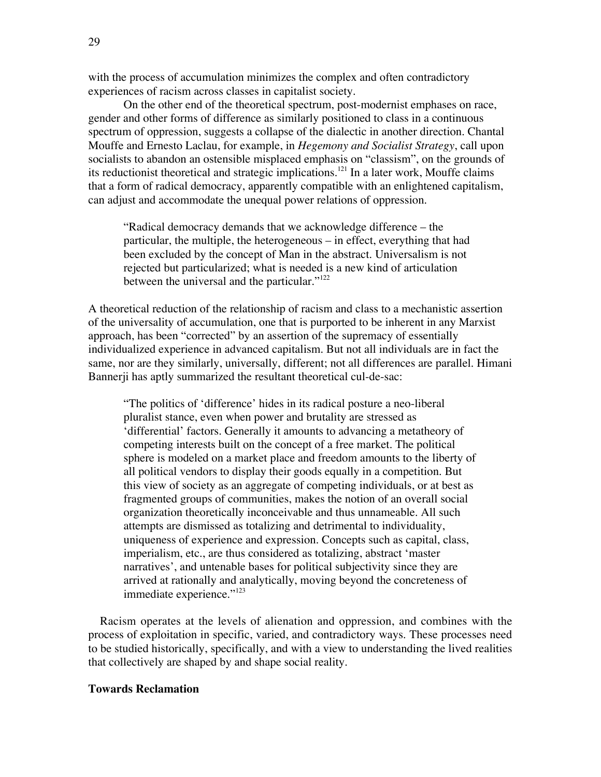with the process of accumulation minimizes the complex and often contradictory experiences of racism across classes in capitalist society.

On the other end of the theoretical spectrum, post-modernist emphases on race, gender and other forms of difference as similarly positioned to class in a continuous spectrum of oppression, suggests a collapse of the dialectic in another direction. Chantal Mouffe and Ernesto Laclau, for example, in *Hegemony and Socialist Strategy*, call upon socialists to abandon an ostensible misplaced emphasis on "classism", on the grounds of its reductionist theoretical and strategic implications.<sup>121</sup> In a later work, Mouffe claims that a form of radical democracy, apparently compatible with an enlightened capitalism, can adjust and accommodate the unequal power relations of oppression.

"Radical democracy demands that we acknowledge difference – the particular, the multiple, the heterogeneous – in effect, everything that had been excluded by the concept of Man in the abstract. Universalism is not rejected but particularized; what is needed is a new kind of articulation between the universal and the particular."<sup>122</sup>

A theoretical reduction of the relationship of racism and class to a mechanistic assertion of the universality of accumulation, one that is purported to be inherent in any Marxist approach, has been "corrected" by an assertion of the supremacy of essentially individualized experience in advanced capitalism. But not all individuals are in fact the same, nor are they similarly, universally, different; not all differences are parallel. Himani Bannerji has aptly summarized the resultant theoretical cul-de-sac:

"The politics of 'difference' hides in its radical posture a neo-liberal pluralist stance, even when power and brutality are stressed as 'differential' factors. Generally it amounts to advancing a metatheory of competing interests built on the concept of a free market. The political sphere is modeled on a market place and freedom amounts to the liberty of all political vendors to display their goods equally in a competition. But this view of society as an aggregate of competing individuals, or at best as fragmented groups of communities, makes the notion of an overall social organization theoretically inconceivable and thus unnameable. All such attempts are dismissed as totalizing and detrimental to individuality, uniqueness of experience and expression. Concepts such as capital, class, imperialism, etc., are thus considered as totalizing, abstract 'master narratives', and untenable bases for political subjectivity since they are arrived at rationally and analytically, moving beyond the concreteness of immediate experience."<sup>123</sup>

Racism operates at the levels of alienation and oppression, and combines with the process of exploitation in specific, varied, and contradictory ways. These processes need to be studied historically, specifically, and with a view to understanding the lived realities that collectively are shaped by and shape social reality.

### **Towards Reclamation**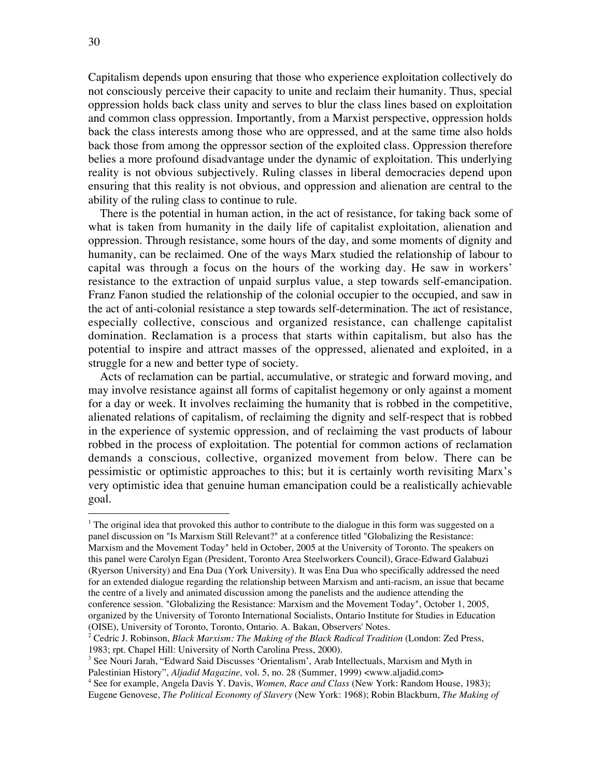Capitalism depends upon ensuring that those who experience exploitation collectively do not consciously perceive their capacity to unite and reclaim their humanity. Thus, special oppression holds back class unity and serves to blur the class lines based on exploitation and common class oppression. Importantly, from a Marxist perspective, oppression holds back the class interests among those who are oppressed, and at the same time also holds back those from among the oppressor section of the exploited class. Oppression therefore belies a more profound disadvantage under the dynamic of exploitation. This underlying reality is not obvious subjectively. Ruling classes in liberal democracies depend upon ensuring that this reality is not obvious, and oppression and alienation are central to the ability of the ruling class to continue to rule.

There is the potential in human action, in the act of resistance, for taking back some of what is taken from humanity in the daily life of capitalist exploitation, alienation and oppression. Through resistance, some hours of the day, and some moments of dignity and humanity, can be reclaimed. One of the ways Marx studied the relationship of labour to capital was through a focus on the hours of the working day. He saw in workers' resistance to the extraction of unpaid surplus value, a step towards self-emancipation. Franz Fanon studied the relationship of the colonial occupier to the occupied, and saw in the act of anti-colonial resistance a step towards self-determination. The act of resistance, especially collective, conscious and organized resistance, can challenge capitalist domination. Reclamation is a process that starts within capitalism, but also has the potential to inspire and attract masses of the oppressed, alienated and exploited, in a struggle for a new and better type of society.

Acts of reclamation can be partial, accumulative, or strategic and forward moving, and may involve resistance against all forms of capitalist hegemony or only against a moment for a day or week. It involves reclaiming the humanity that is robbed in the competitive, alienated relations of capitalism, of reclaiming the dignity and self-respect that is robbed in the experience of systemic oppression, and of reclaiming the vast products of labour robbed in the process of exploitation. The potential for common actions of reclamation demands a conscious, collective, organized movement from below. There can be pessimistic or optimistic approaches to this; but it is certainly worth revisiting Marx's very optimistic idea that genuine human emancipation could be a realistically achievable goal.

<sup>|&</sup>lt;br>|<br>1 <sup>1</sup> The original idea that provoked this author to contribute to the dialogue in this form was suggested on a panel discussion on "Is Marxism Still Relevant?" at a conference titled "Globalizing the Resistance: Marxism and the Movement Today" held in October, 2005 at the University of Toronto. The speakers on this panel were Carolyn Egan (President, Toronto Area Steelworkers Council), Grace-Edward Galabuzi (Ryerson University) and Ena Dua (York University). It was Ena Dua who specifically addressed the need for an extended dialogue regarding the relationship between Marxism and anti-racism, an issue that became the centre of a lively and animated discussion among the panelists and the audience attending the conference session. "Globalizing the Resistance: Marxism and the Movement Today", October 1, 2005, organized by the University of Toronto International Socialists, Ontario Institute for Studies in Education (OISE), University of Toronto, Toronto, Ontario. A. Bakan, Observers' Notes.

<sup>2</sup> Cedric J. Robinson, *Black Marxism: The Making of the Black Radical Tradition* (London: Zed Press, 1983; rpt. Chapel Hill: University of North Carolina Press, 2000).

<sup>&</sup>lt;sup>3</sup> See Nouri Jarah, "Edward Said Discusses 'Orientalism', Arab Intellectuals, Marxism and Myth in Palestinian History", *Aljadid Magazine,* vol. 5, no. 28 (Summer, 1999) <www.aljadid.com>

<sup>4</sup> See for example, Angela Davis Y. Davis, *Women, Race and Class* (New York: Random House, 1983); Eugene Genovese, *The Political Economy of Slavery* (New York: 1968); Robin Blackburn, *The Making of*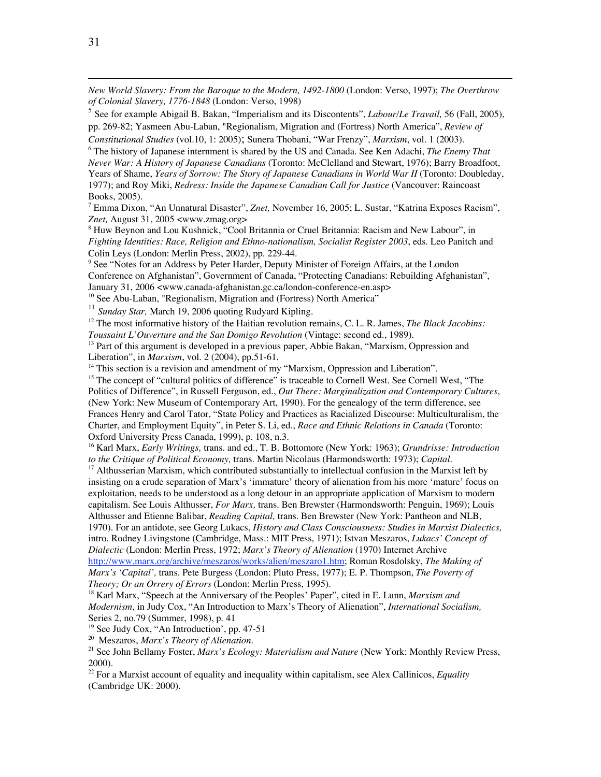*New World Slavery: From the Baroque to the Modern, 1492-1800* (London: Verso, 1997); *The Overthrow of Colonial Slavery, 1776-1848* (London: Verso, 1998)

<sup>5</sup> See for example Abigail B. Bakan, "Imperialism and its Discontents", *Labour/Le Travail,* 56 (Fall, 2005), pp. 269-82; Yasmeen Abu-Laban, "Regionalism, Migration and (Fortress) North America", *Review of*

*Constitutional Studies* (vol.10, 1: 2005); Sunera Thobani, "War Frenzy", *Marxism*, vol. 1 (2003).

6 The history of Japanese internment is shared by the US and Canada. See Ken Adachi, *The Enemy That Never War: A History of Japanese Canadians* (Toronto: McClelland and Stewart, 1976); Barry Broadfoot, Years of Shame, *Years of Sorrow: The Story of Japanese Canadians in World War II* (Toronto: Doubleday, 1977); and Roy Miki, *Redress: Inside the Japanese Canadian Call for Justice* (Vancouver: Raincoast Books, 2005).

7 Emma Dixon, "An Unnatural Disaster", *Znet,* November 16, 2005; L. Sustar, "Katrina Exposes Racism", *Znet,* August 31, 2005 <www.zmag.org>

<sup>8</sup> Huw Beynon and Lou Kushnick, "Cool Britannia or Cruel Britannia: Racism and New Labour", in *Fighting Identities: Race, Religion and Ethno-nationalism, Socialist Register 2003*, eds. Leo Panitch and Colin Leys (London: Merlin Press, 2002), pp. 229-44.

<sup>9</sup> See "Notes for an Address by Peter Harder, Deputy Minister of Foreign Affairs, at the London Conference on Afghanistan", Government of Canada, "Protecting Canadians: Rebuilding Afghanistan", January 31, 2006 <www.canada-afghanistan.gc.ca/london-conference-en.asp>

<sup>10</sup> See Abu-Laban, "Regionalism, Migration and (Fortress) North America"

<sup>11</sup> Sunday Star, March 19, 2006 quoting Rudyard Kipling.

<sup>12</sup> The most informative history of the Haitian revolution remains, C. L. R. James, *The Black Jacobins: Toussaint L'Ouverture and the San Domigo Revolution* (Vintage: second ed., 1989).

<sup>13</sup> Part of this argument is developed in a previous paper, Abbie Bakan, "Marxism, Oppression and Liberation", in *Marxism*, vol. 2 (2004), pp.51-61.

<sup>14</sup> This section is a revision and amendment of my "Marxism, Oppression and Liberation".

<sup>15</sup> The concept of "cultural politics of difference" is traceable to Cornell West. See Cornell West, "The Politics of Difference", in Russell Ferguson, ed., *Out There: Marginalization and Contemporary Cultures*, (New York: New Museum of Contemporary Art, 1990). For the genealogy of the term difference, see Frances Henry and Carol Tator, "State Policy and Practices as Racialized Discourse: Multiculturalism, the Charter, and Employment Equity", in Peter S. Li, ed., *Race and Ethnic Relations in Canada* (Toronto: Oxford University Press Canada, 1999), p. 108, n.3.

16 Karl Marx, *Early Writings,* trans. and ed., T. B. Bottomore (New York: 1963); *Grundrisse: Introduction to the Critique of Political Economy,* trans. Martin Nicolaus (Harmondsworth: 1973); *Capital.*

<sup>17</sup> Althusserian Marxism, which contributed substantially to intellectual confusion in the Marxist left by insisting on a crude separation of Marx's 'immature' theory of alienation from his more 'mature' focus on exploitation, needs to be understood as a long detour in an appropriate application of Marxism to modern capitalism. See Louis Althusser, *For Marx,* trans. Ben Brewster (Harmondsworth: Penguin, 1969); Louis Althusser and Etienne Balibar, *Reading Capital,* trans. Ben Brewster (New York: Pantheon and NLB, 1970). For an antidote, see Georg Lukacs, *History and Class Consciousness: Studies in Marxist Dialectics,* intro. Rodney Livingstone (Cambridge, Mass.: MIT Press, 1971); Istvan Meszaros, *Lukacs' Concept of Dialectic* (London: Merlin Press, 1972; *Marx's Theory of Alienation* (1970) Internet Archive http://www.marx.org/archive/meszaros/works/alien/meszaro1.htm; Roman Rosdolsky, *The Making of Marx's 'Capital',* trans. Pete Burgess (London: Pluto Press, 1977); E. P. Thompson, *The Poverty of Theory; Or an Orrery of Errors* (London: Merlin Press, 1995).

<sup>18</sup> Karl Marx, "Speech at the Anniversary of the Peoples' Paper", cited in E. Lunn, *Marxism and Modernism*, in Judy Cox, "An Introduction to Marx's Theory of Alienation", *International Socialism,* Series 2, no.79 (Summer, 1998), p. 41

<sup>19</sup> See Judy Cox, "An Introduction', pp. 47-51

20 Meszaros, *Marx's Theory of Alienation*.

21 See John Bellamy Foster, *Marx's Ecology: Materialism and Nature* (New York: Monthly Review Press, 2000).

22 For a Marxist account of equality and inequality within capitalism, see Alex Callinicos, *Equality* (Cambridge UK: 2000).

 $\overline{a}$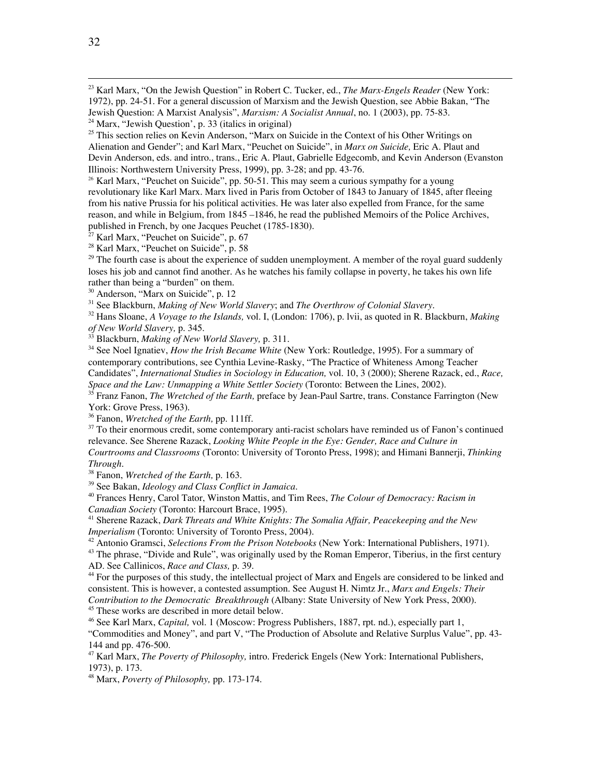23 Karl Marx, "On the Jewish Question" in Robert C. Tucker, ed., *The Marx-Engels Reader* (New York: 1972), pp. 24-51. For a general discussion of Marxism and the Jewish Question, see Abbie Bakan, "The Jewish Question: A Marxist Analysis", *Marxism: A Socialist Annual*, no. 1 (2003), pp. 75-83.

<sup>26</sup> Karl Marx, "Peuchet on Suicide", pp. 50-51. This may seem a curious sympathy for a young revolutionary like Karl Marx. Marx lived in Paris from October of 1843 to January of 1845, after fleeing from his native Prussia for his political activities. He was later also expelled from France, for the same reason, and while in Belgium, from 1845 –1846, he read the published Memoirs of the Police Archives, published in French, by one Jacques Peuchet (1785-1830).

<sup>27</sup> Karl Marx, "Peuchet on Suicide", p. 67

<sup>28</sup> Karl Marx, "Peuchet on Suicide", p. 58

 $29$  The fourth case is about the experience of sudden unemployment. A member of the royal guard suddenly loses his job and cannot find another. As he watches his family collapse in poverty, he takes his own life rather than being a "burden" on them.

<sup>30</sup> Anderson, "Marx on Suicide", p. 12

31 See Blackburn, *Making of New World Slavery*; and *The Overthrow of Colonial Slavery.*

32 Hans Sloane, *A Voyage to the Islands,* vol. I, (London: 1706), p. lvii, as quoted in R. Blackburn, *Making of New World Slavery,* p. 345.

33 Blackburn, *Making of New World Slavery,* p. 311.

<sup>34</sup> See Noel Ignatiev, *How the Irish Became White* (New York: Routledge, 1995). For a summary of contemporary contributions, see Cynthia Levine-Rasky, "The Practice of Whiteness Among Teacher Candidates", *International Studies in Sociology in Education,* vol. 10, 3 (2000); Sherene Razack, ed., *Race, Space and the Law: Unmapping a White Settler Society* (Toronto: Between the Lines, 2002).

<sup>35</sup> Franz Fanon, *The Wretched of the Earth*, preface by Jean-Paul Sartre, trans. Constance Farrington (New York: Grove Press, 1963).

36 Fanon, *Wretched of the Earth,* pp. 111ff.

<sup>37</sup> To their enormous credit, some contemporary anti-racist scholars have reminded us of Fanon's continued relevance. See Sherene Razack, *Looking White People in the Eye: Gender, Race and Culture in*

*Courtrooms and Classrooms* (Toronto: University of Toronto Press, 1998); and Himani Bannerji, *Thinking Through.*

38 Fanon, *Wretched of the Earth,* p. 163.

39 See Bakan, *Ideology and Class Conflict in Jamaica.*

40 Frances Henry, Carol Tator, Winston Mattis, and Tim Rees, *The Colour of Democracy: Racism in Canadian Society* (Toronto: Harcourt Brace, 1995).

41 Sherene Razack, *Dark Threats and White Knights: The Somalia Affair, Peacekeeping and the New Imperialism* (Toronto: University of Toronto Press, 2004).

42 Antonio Gramsci, *Selections From the Prison Notebooks* (New York: International Publishers, 1971).

<sup>43</sup> The phrase, "Divide and Rule", was originally used by the Roman Emperor, Tiberius, in the first century AD. See Callinicos, *Race and Class,* p. 39.

<sup>44</sup> For the purposes of this study, the intellectual project of Marx and Engels are considered to be linked and consistent. This is however, a contested assumption. See August H. Nimtz Jr., *Marx and Engels: Their Contribution to the Democratic Breakthrough* (Albany: State University of New York Press, 2000).

<sup>45</sup> These works are described in more detail below.

46 See Karl Marx, *Capital,* vol. 1 (Moscow: Progress Publishers, 1887, rpt. nd.), especially part 1,

"Commodities and Money", and part V, "The Production of Absolute and Relative Surplus Value", pp. 43- 144 and pp. 476-500.

47 Karl Marx, *The Poverty of Philosophy,* intro. Frederick Engels (New York: International Publishers, 1973), p. 173.

48 Marx, *Poverty of Philosophy,* pp. 173-174.

<sup>&</sup>lt;sup>24</sup> Marx, "Jewish Question', p. 33 (italics in original)

<sup>&</sup>lt;sup>25</sup> This section relies on Kevin Anderson, "Marx on Suicide in the Context of his Other Writings on Alienation and Gender"; and Karl Marx, "Peuchet on Suicide", in *Marx on Suicide,* Eric A. Plaut and Devin Anderson, eds. and intro., trans., Eric A. Plaut, Gabrielle Edgecomb, and Kevin Anderson (Evanston Illinois: Northwestern University Press, 1999), pp. 3-28; and pp. 43-76.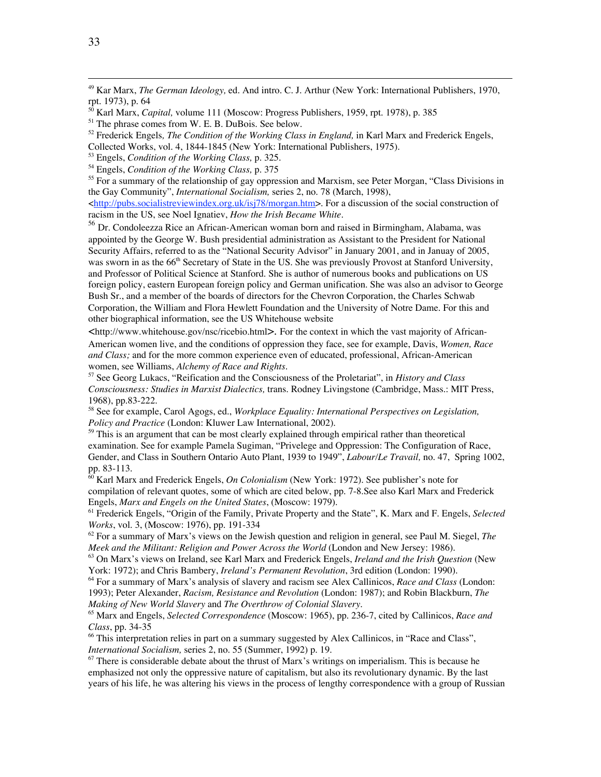49 Kar Marx, *The German Ideology,* ed. And intro. C. J. Arthur (New York: International Publishers, 1970, rpt. 1973), p. 64

50 Karl Marx, *Capital,* volume 111 (Moscow: Progress Publishers, 1959, rpt. 1978), p. 385

<sup>55</sup> For a summary of the relationship of gay oppression and Marxism, see Peter Morgan, "Class Divisions in the Gay Community", *International Socialism,* series 2, no. 78 (March, 1998),

<http://pubs.socialistreviewindex.org.uk/isj78/morgan.htm>. For a discussion of the social construction of racism in the US, see Noel Ignatiev, *How the Irish Became White.*

<sup>56</sup> Dr. Condoleezza Rice an African-American woman born and raised in Birmingham, Alabama, was appointed by the George W. Bush presidential administration as Assistant to the President for National Security Affairs, referred to as the "National Security Advisor" in January 2001, and in Januay of 2005, was sworn in as the 66<sup>th</sup> Secretary of State in the US. She was previously Provost at Stanford University, and Professor of Political Science at Stanford. She is author of numerous books and publications on US foreign policy, eastern European foreign policy and German unification. She was also an advisor to George Bush Sr., and a member of the boards of directors for the Chevron Corporation, the Charles Schwab Corporation, the William and Flora Hewlett Foundation and the University of Notre Dame. For this and other biographical information, see the US Whitehouse website

 $\lt$ http://www.whitehouse.gov/nsc/ricebio.html>. For the context in which the vast majority of African-American women live, and the conditions of oppression they face, see for example, Davis, *Women, Race and Class;* and for the more common experience even of educated, professional, African-American women, see Williams, *Alchemy of Race and Rights.*

57 See Georg Lukacs, "Reification and the Consciousness of the Proletariat", in *History and Class Consciousness: Studies in Marxist Dialectics,* trans. Rodney Livingstone (Cambridge, Mass.: MIT Press, 1968), pp.83-222.

58 See for example, Carol Agogs, ed., *Workplace Equality: International Perspectives on Legislation, Policy and Practice* (London: Kluwer Law International, 2002).

<sup>59</sup> This is an argument that can be most clearly explained through empirical rather than theoretical examination. See for example Pamela Sugiman, "Privelege and Oppression: The Configuration of Race, Gender, and Class in Southern Ontario Auto Plant, 1939 to 1949", *Labour/Le Travail,* no. 47, Spring 1002, pp. 83-113.

60 Karl Marx and Frederick Engels, *On Colonialism* (New York: 1972). See publisher's note for compilation of relevant quotes, some of which are cited below, pp. 7-8.See also Karl Marx and Frederick Engels, *Marx and Engels on the United States*, (Moscow: 1979).

61 Frederick Engels, "Origin of the Family, Private Property and the State", K. Marx and F. Engels, *Selected Works*, vol. 3, (Moscow: 1976), pp. 191-334

62 For a summary of Marx's views on the Jewish question and religion in general, see Paul M. Siegel, *The Meek and the Militant: Religion and Power Across the World* (London and New Jersey: 1986).

63 On Marx's views on Ireland, see Karl Marx and Frederick Engels, *Ireland and the Irish Question* (New York: 1972); and Chris Bambery, *Ireland's Permanent Revolution*, 3rd edition (London: 1990).

64 For a summary of Marx's analysis of slavery and racism see Alex Callinicos, *Race and Class* (London: 1993); Peter Alexander, *Racism, Resistance and Revolution* (London: 1987); and Robin Blackburn, *The Making of New World Slavery* and *The Overthrow of Colonial Slavery*.

65 Marx and Engels, *Selected Correspondence* (Moscow: 1965), pp. 236-7, cited by Callinicos, *Race and Class*, pp. 34-35

66 This interpretation relies in part on a summary suggested by Alex Callinicos, in "Race and Class", *International Socialism,* series 2, no. 55 (Summer, 1992) p. 19.

<sup>67</sup> There is considerable debate about the thrust of Marx's writings on imperialism. This is because he emphasized not only the oppressive nature of capitalism, but also its revolutionary dynamic. By the last years of his life, he was altering his views in the process of lengthy correspondence with a group of Russian

<sup>&</sup>lt;sup>51</sup> The phrase comes from W. E. B. DuBois. See below.

<sup>52</sup> Frederick Engels*, The Condition of the Working Class in England,* in Karl Marx and Frederick Engels, Collected Works, vol. 4, 1844-1845 (New York: International Publishers, 1975).

<sup>53</sup> Engels, *Condition of the Working Class,* p. 325.

<sup>54</sup> Engels, *Condition of the Working Class,* p. 375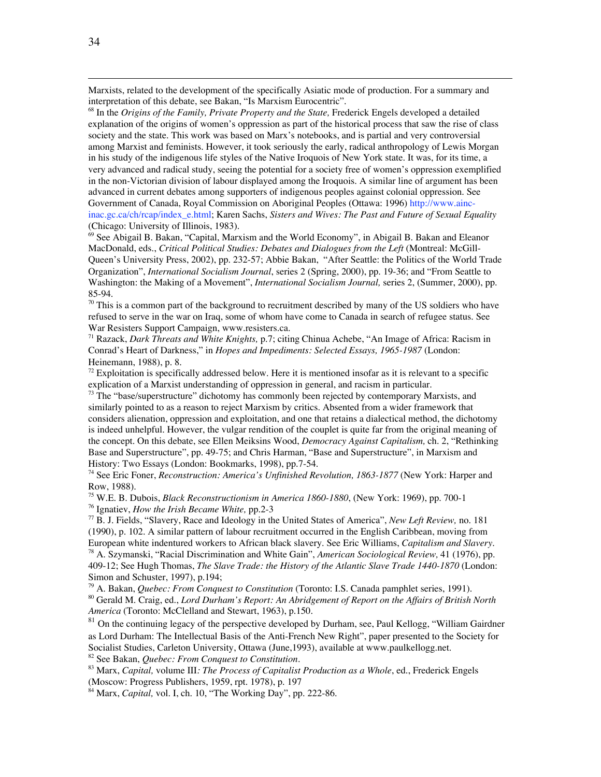Marxists, related to the development of the specifically Asiatic mode of production. For a summary and interpretation of this debate, see Bakan, "Is Marxism Eurocentric".

68 In the *Origins of the Family, Private Property and the State,* Frederick Engels developed a detailed explanation of the origins of women's oppression as part of the historical process that saw the rise of class society and the state. This work was based on Marx's notebooks, and is partial and very controversial among Marxist and feminists. However, it took seriously the early, radical anthropology of Lewis Morgan in his study of the indigenous life styles of the Native Iroquois of New York state. It was, for its time, a very advanced and radical study, seeing the potential for a society free of women's oppression exemplified in the non-Victorian division of labour displayed among the Iroquois. A similar line of argument has been advanced in current debates among supporters of indigenous peoples against colonial oppression. See Government of Canada, Royal Commission on Aboriginal Peoples (Ottawa: 1996) http://www.aincinac.gc.ca/ch/rcap/index\_e.html; Karen Sachs, *Sisters and Wives: The Past and Future of Sexual Equality* (Chicago: University of Illinois, 1983).

69 See Abigail B. Bakan, "Capital, Marxism and the World Economy", in Abigail B. Bakan and Eleanor MacDonald, eds., *Critical Political Studies: Debates and Dialogues from the Left* (Montreal: McGill-Queen's University Press, 2002), pp. 232-57; Abbie Bakan, "After Seattle: the Politics of the World Trade Organization", *International Socialism Journal*, series 2 (Spring, 2000), pp. 19-36; and "From Seattle to Washington: the Making of a Movement", *International Socialism Journal,* series 2, (Summer, 2000), pp. 85-94.

 $70$  This is a common part of the background to recruitment described by many of the US soldiers who have refused to serve in the war on Iraq, some of whom have come to Canada in search of refugee status. See War Resisters Support Campaign, www.resisters.ca.

71 Razack, *Dark Threats and White Knights,* p.7; citing Chinua Achebe, "An Image of Africa: Racism in Conrad's Heart of Darkness," in *Hopes and Impediments: Selected Essays, 1965-1987* (London: Heinemann, 1988), p. 8.

 $72$  Exploitation is specifically addressed below. Here it is mentioned insofar as it is relevant to a specific explication of a Marxist understanding of oppression in general, and racism in particular.

 $73$  The "base/superstructure" dichotomy has commonly been rejected by contemporary Marxists, and similarly pointed to as a reason to reject Marxism by critics. Absented from a wider framework that considers alienation, oppression and exploitation, and one that retains a dialectical method, the dichotomy is indeed unhelpful. However, the vulgar rendition of the couplet is quite far from the original meaning of the concept. On this debate, see Ellen Meiksins Wood, *Democracy Against Capitalism,* ch. 2, "Rethinking Base and Superstructure", pp. 49-75; and Chris Harman, "Base and Superstructure", in Marxism and History: Two Essays (London: Bookmarks, 1998), pp.7-54.

74 See Eric Foner, *Reconstruction: America's Unfinished Revolution, 1863-1877* (New York: Harper and Row, 1988).

75 W.E. B. Dubois, *Black Reconstructionism in America 1860-1880*, (New York: 1969), pp. 700-1

76 Ignatiev, *How the Irish Became White,* pp.2-3

77 B. J. Fields, "Slavery, Race and Ideology in the United States of America", *New Left Review,* no. 181 (1990), p. 102. A similar pattern of labour recruitment occurred in the English Caribbean, moving from European white indentured workers to African black slavery. See Eric Williams, *Capitalism and Slavery.*

78 A. Szymanski, "Racial Discrimination and White Gain", *American Sociological Review,* 41 (1976), pp. 409-12; See Hugh Thomas, *The Slave Trade: the History of the Atlantic Slave Trade 1440-1870* (London: Simon and Schuster, 1997), p.194;

79 A. Bakan, *Quebec: From Conquest to Constitution* (Toronto: I.S. Canada pamphlet series, 1991).

80 Gerald M. Craig, ed., *Lord Durham's Report: An Abridgement of Report on the Affairs of British North America* (Toronto: McClelland and Stewart, 1963), p.150.

 $81$  On the continuing legacy of the perspective developed by Durham, see, Paul Kellogg, "William Gairdner" as Lord Durham: The Intellectual Basis of the Anti-French New Right", paper presented to the Society for Socialist Studies, Carleton University, Ottawa (June,1993), available at www.paulkellogg.net.

82 See Bakan, *Quebec: From Conquest to Constitution*.

83 Marx, *Capital,* volume III*: The Process of Capitalist Production as a Whole*, ed., Frederick Engels (Moscow: Progress Publishers, 1959, rpt. 1978), p. 197

84 Marx, *Capital,* vol. I, ch. 10, "The Working Day", pp. 222-86.

 $\overline{a}$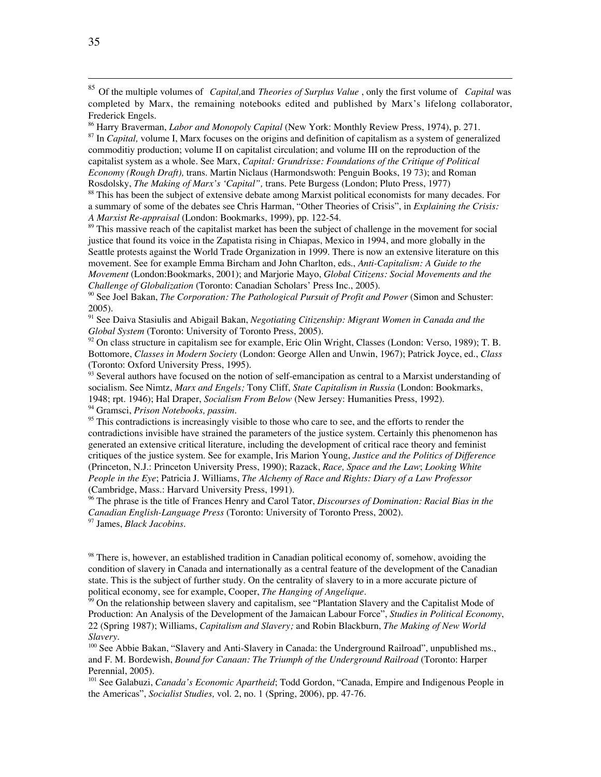86 Harry Braverman, *Labor and Monopoly Capital* (New York: Monthly Review Press, 1974), p. 271. 87 In *Capital,* volume I, Marx focuses on the origins and definition of capitalism as a system of generalized commoditiy production; volume II on capitalist circulation; and volume III on the reproduction of the capitalist system as a whole. See Marx, *Capital: Grundrisse: Foundations of the Critique of Political Economy (Rough Draft),* trans. Martin Niclaus (Harmondswoth: Penguin Books, 19 73); and Roman Rosdolsky, *The Making of Marx's 'Capital",* trans. Pete Burgess (London; Pluto Press, 1977)

<sup>88</sup> This has been the subject of extensive debate among Marxist political economists for many decades. For a summary of some of the debates see Chris Harman, "Other Theories of Crisis", in *Explaining the Crisis: A Marxist Re-appraisal* (London: Bookmarks, 1999), pp. 122-54.

<sup>89</sup> This massive reach of the capitalist market has been the subject of challenge in the movement for social justice that found its voice in the Zapatista rising in Chiapas, Mexico in 1994, and more globally in the Seattle protests against the World Trade Organization in 1999. There is now an extensive literature on this movement. See for example Emma Bircham and John Charlton, eds., *Anti-Capitalism: A Guide to the Movement* (London:Bookmarks, 2001); and Marjorie Mayo, *Global Citizens: Social Movements and the Challenge of Globalization* (Toronto: Canadian Scholars' Press Inc., 2005).

90 See Joel Bakan, *The Corporation: The Pathological Pursuit of Profit and Power* (Simon and Schuster: 2005).

91 See Daiva Stasiulis and Abigail Bakan, *Negotiating Citizenship: Migrant Women in Canada and the Global System* (Toronto: University of Toronto Press, 2005).

<sup>92</sup> On class structure in capitalism see for example, Eric Olin Wright, Classes (London: Verso, 1989); T. B. Bottomore, *Classes in Modern Society* (London: George Allen and Unwin, 1967); Patrick Joyce, ed., *Class* (Toronto: Oxford University Press, 1995).

<sup>93</sup> Several authors have focused on the notion of self-emancipation as central to a Marxist understanding of socialism. See Nimtz, *Marx and Engels;* Tony Cliff, *State Capitalism in Russia* (London: Bookmarks, 1948; rpt. 1946); Hal Draper, *Socialism From Below* (New Jersey: Humanities Press, 1992).

94 Gramsci, *Prison Notebooks, passim.*

<sup>95</sup> This contradictions is increasingly visible to those who care to see, and the efforts to render the contradictions invisible have strained the parameters of the justice system. Certainly this phenomenon has generated an extensive critical literature, including the development of critical race theory and feminist critiques of the justice system. See for example, Iris Marion Young, *Justice and the Politics of Difference* (Princeton, N.J.: Princeton University Press, 1990); Razack, *Race, Space and the Law*; *Looking White People in the Eye*; Patricia J. Williams, *The Alchemy of Race and Rights: Diary of a Law Professor* (Cambridge, Mass.: Harvard University Press, 1991).

96 The phrase is the title of Frances Henry and Carol Tator, *Discourses of Domination: Racial Bias in the Canadian English-Language Press* (Toronto: University of Toronto Press, 2002). 97 James, *Black Jacobins*.

<sup>98</sup> There is, however, an established tradition in Canadian political economy of, somehow, avoiding the condition of slavery in Canada and internationally as a central feature of the development of the Canadian state. This is the subject of further study. On the centrality of slavery to in a more accurate picture of political economy, see for example, Cooper, *The Hanging of Angelique.*

<sup>99</sup> On the relationship between slavery and capitalism, see "Plantation Slavery and the Capitalist Mode of Production: An Analysis of the Development of the Jamaican Labour Force", *Studies in Political Economy*, 22 (Spring 1987); Williams, *Capitalism and Slavery;* and Robin Blackburn, *The Making of New World Slavery.*

<sup>100</sup> See Abbie Bakan, "Slavery and Anti-Slavery in Canada: the Underground Railroad", unpublished ms., and F. M. Bordewish, *Bound for Canaan: The Triumph of the Underground Railroad* (Toronto: Harper Perennial, 2005).

<sup>101</sup> See Galabuzi, *Canada's Economic Apartheid*; Todd Gordon, "Canada, Empire and Indigenous People in the Americas", *Socialist Studies,* vol. 2, no. 1 (Spring, 2006), pp. 47-76.

 <sup>85</sup> Of the multiple volumes of *Capital,*and *Theories of Surplus Value* , only the first volume of *Capital* was completed by Marx, the remaining notebooks edited and published by Marx's lifelong collaborator, Frederick Engels.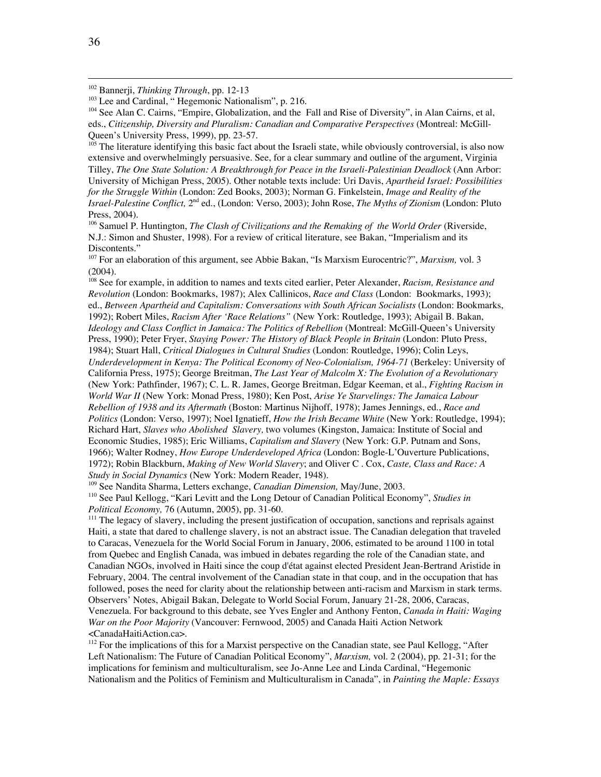<sup>104</sup> See Alan C. Cairns, "Empire, Globalization, and the Fall and Rise of Diversity", in Alan Cairns, et al, eds., *Citizenship, Diversity and Pluralism: Canadian and Comparative Perspectives* (Montreal: McGill-Queen's University Press, 1999), pp. 23-57.

<sup>105</sup> The literature identifying this basic fact about the Israeli state, while obviously controversial, is also now extensive and overwhelmingly persuasive. See, for a clear summary and outline of the argument, Virginia Tilley, *The One State Solution: A Breakthrough for Peace in the Israeli-Palestinian Deadlock* (Ann Arbor: University of Michigan Press, 2005). Other notable texts include: Uri Davis, *Apartheid Israel: Possibilities for the Struggle Within* (London: Zed Books, 2003); Norman G. Finkelstein, *Image and Reality of the Israel-Palestine Conflict,* 2nd ed., (London: Verso, 2003); John Rose, *The Myths of Zionism* (London: Pluto Press, 2004).

106 Samuel P. Huntington, *The Clash of Civilizations and the Remaking of the World Order* (Riverside, N.J.: Simon and Shuster, 1998). For a review of critical literature, see Bakan, "Imperialism and its Discontents."

<sup>107</sup> For an elaboration of this argument, see Abbie Bakan, "Is Marxism Eurocentric?", *Marxism*, vol. 3 (2004).

108 See for example, in addition to names and texts cited earlier, Peter Alexander, *Racism, Resistance and Revolution* (London: Bookmarks, 1987); Alex Callinicos, *Race and Class* (London: Bookmarks, 1993); ed., *Between Apartheid and Capitalism: Conversations with South African Socialists* (London: Bookmarks, 1992); Robert Miles, *Racism After 'Race Relations"* (New York: Routledge, 1993); Abigail B. Bakan, *Ideology and Class Conflict in Jamaica: The Politics of Rebellion* (Montreal: McGill-Queen's University Press, 1990); Peter Fryer, *Staying Power: The History of Black People in Britain* (London: Pluto Press, 1984); Stuart Hall, *Critical Dialogues in Cultural Studies* (London: Routledge, 1996); Colin Leys, *Underdevelopment in Kenya: The Political Economy of Neo-Colonialism, 1964-71* (Berkeley: University of California Press, 1975); George Breitman, *The Last Year of Malcolm X: The Evolution of a Revolutionary* (New York: Pathfinder, 1967); C. L. R. James, George Breitman, Edgar Keeman, et al., *Fighting Racism in World War II* (New York: Monad Press, 1980); Ken Post, *Arise Ye Starvelings: The Jamaica Labour Rebellion of 1938 and its Aftermath* (Boston: Martinus Nijhoff, 1978); James Jennings, ed., *Race and Politics* (London: Verso, 1997); Noel Ignatieff, *How the Irish Became White* (New York: Routledge, 1994); Richard Hart, *Slaves who Abolished Slavery,* two volumes (Kingston, Jamaica: Institute of Social and Economic Studies, 1985); Eric Williams, *Capitalism and Slavery* (New York: G.P. Putnam and Sons, 1966); Walter Rodney, *How Europe Underdeveloped Africa* (London: Bogle-L'Ouverture Publications, 1972); Robin Blackburn, *Making of New World Slavery*; and Oliver C . Cox, *Caste, Class and Race: A Study in Social Dynamics* (New York: Modern Reader, 1948).

109 See Nandita Sharma, Letters exchange, *Canadian Dimension,* May/June, 2003. 110 See Paul Kellogg, "Kari Levitt and the Long Detour of Canadian Political Economy", *Studies in Political Economy,* 76 (Autumn, 2005), pp. 31-60.

<sup>111</sup> The legacy of slavery, including the present justification of occupation, sanctions and reprisals against Haiti, a state that dared to challenge slavery, is not an abstract issue. The Canadian delegation that traveled to Caracas, Venezuela for the World Social Forum in January, 2006, estimated to be around 1100 in total from Quebec and English Canada, was imbued in debates regarding the role of the Canadian state, and Canadian NGOs, involved in Haiti since the coup d'état against elected President Jean-Bertrand Aristide in February, 2004. The central involvement of the Canadian state in that coup, and in the occupation that has followed, poses the need for clarity about the relationship between anti-racism and Marxism in stark terms. Observers' Notes, Abigail Bakan, Delegate to World Social Forum, January 21-28, 2006, Caracas, Venezuela. For background to this debate, see Yves Engler and Anthony Fenton, *Canada in Haiti: Waging War on the Poor Majority* (Vancouver: Fernwood, 2005) and Canada Haiti Action Network <CanadaHaitiAction.ca>.

<sup>112</sup> For the implications of this for a Marxist perspective on the Canadian state, see Paul Kellogg, "After Left Nationalism: The Future of Canadian Political Economy", *Marxism,* vol. 2 (2004), pp. 21-31; for the implications for feminism and multiculturalism, see Jo-Anne Lee and Linda Cardinal, "Hegemonic Nationalism and the Politics of Feminism and Multiculturalism in Canada", in *Painting the Maple: Essays*

 <sup>102</sup> Bannerji, *Thinking Through*, pp. 12-13

<sup>&</sup>lt;sup>103</sup> Lee and Cardinal, "Hegemonic Nationalism", p. 216.